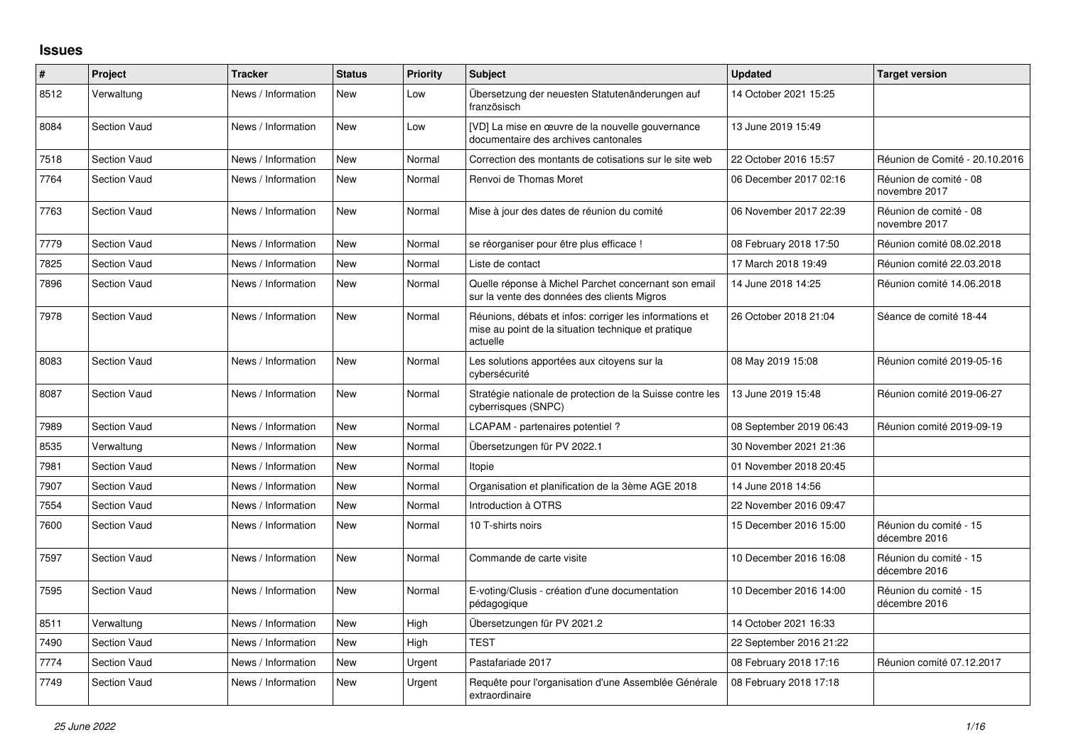## **Issues**

| $\#$ | Project             | <b>Tracker</b>     | <b>Status</b> | <b>Priority</b> | <b>Subject</b>                                                                                                             | <b>Updated</b>          | <b>Target version</b>                   |
|------|---------------------|--------------------|---------------|-----------------|----------------------------------------------------------------------------------------------------------------------------|-------------------------|-----------------------------------------|
| 8512 | Verwaltung          | News / Information | New           | Low             | Übersetzung der neuesten Statutenänderungen auf<br>französisch                                                             | 14 October 2021 15:25   |                                         |
| 8084 | <b>Section Vaud</b> | News / Information | <b>New</b>    | Low             | [VD] La mise en œuvre de la nouvelle gouvernance<br>documentaire des archives cantonales                                   | 13 June 2019 15:49      |                                         |
| 7518 | <b>Section Vaud</b> | News / Information | <b>New</b>    | Normal          | Correction des montants de cotisations sur le site web                                                                     | 22 October 2016 15:57   | Réunion de Comité - 20.10.2016          |
| 7764 | <b>Section Vaud</b> | News / Information | <b>New</b>    | Normal          | Renvoi de Thomas Moret                                                                                                     | 06 December 2017 02:16  | Réunion de comité - 08<br>novembre 2017 |
| 7763 | <b>Section Vaud</b> | News / Information | <b>New</b>    | Normal          | Mise à jour des dates de réunion du comité                                                                                 | 06 November 2017 22:39  | Réunion de comité - 08<br>novembre 2017 |
| 7779 | <b>Section Vaud</b> | News / Information | <b>New</b>    | Normal          | se réorganiser pour être plus efficace !                                                                                   | 08 February 2018 17:50  | Réunion comité 08.02.2018               |
| 7825 | <b>Section Vaud</b> | News / Information | <b>New</b>    | Normal          | Liste de contact                                                                                                           | 17 March 2018 19:49     | Réunion comité 22.03.2018               |
| 7896 | <b>Section Vaud</b> | News / Information | <b>New</b>    | Normal          | Quelle réponse à Michel Parchet concernant son email<br>sur la vente des données des clients Migros                        | 14 June 2018 14:25      | Réunion comité 14.06.2018               |
| 7978 | <b>Section Vaud</b> | News / Information | <b>New</b>    | Normal          | Réunions, débats et infos: corriger les informations et<br>mise au point de la situation technique et pratique<br>actuelle | 26 October 2018 21:04   | Séance de comité 18-44                  |
| 8083 | <b>Section Vaud</b> | News / Information | <b>New</b>    | Normal          | Les solutions apportées aux citoyens sur la<br>cybersécurité                                                               | 08 May 2019 15:08       | Réunion comité 2019-05-16               |
| 8087 | <b>Section Vaud</b> | News / Information | New           | Normal          | Stratégie nationale de protection de la Suisse contre les<br>cyberrisques (SNPC)                                           | 13 June 2019 15:48      | Réunion comité 2019-06-27               |
| 7989 | <b>Section Vaud</b> | News / Information | <b>New</b>    | Normal          | LCAPAM - partenaires potentiel?                                                                                            | 08 September 2019 06:43 | Réunion comité 2019-09-19               |
| 8535 | Verwaltung          | News / Information | <b>New</b>    | Normal          | Übersetzungen für PV 2022.1                                                                                                | 30 November 2021 21:36  |                                         |
| 7981 | <b>Section Vaud</b> | News / Information | <b>New</b>    | Normal          | Itopie                                                                                                                     | 01 November 2018 20:45  |                                         |
| 7907 | <b>Section Vaud</b> | News / Information | <b>New</b>    | Normal          | Organisation et planification de la 3ème AGE 2018                                                                          | 14 June 2018 14:56      |                                         |
| 7554 | <b>Section Vaud</b> | News / Information | <b>New</b>    | Normal          | Introduction à OTRS                                                                                                        | 22 November 2016 09:47  |                                         |
| 7600 | <b>Section Vaud</b> | News / Information | <b>New</b>    | Normal          | 10 T-shirts noirs                                                                                                          | 15 December 2016 15:00  | Réunion du comité - 15<br>décembre 2016 |
| 7597 | <b>Section Vaud</b> | News / Information | <b>New</b>    | Normal          | Commande de carte visite                                                                                                   | 10 December 2016 16:08  | Réunion du comité - 15<br>décembre 2016 |
| 7595 | <b>Section Vaud</b> | News / Information | <b>New</b>    | Normal          | E-voting/Clusis - création d'une documentation<br>pédagogique                                                              | 10 December 2016 14:00  | Réunion du comité - 15<br>décembre 2016 |
| 8511 | Verwaltung          | News / Information | <b>New</b>    | High            | Übersetzungen für PV 2021.2                                                                                                | 14 October 2021 16:33   |                                         |
| 7490 | <b>Section Vaud</b> | News / Information | <b>New</b>    | High            | <b>TEST</b>                                                                                                                | 22 September 2016 21:22 |                                         |
| 7774 | <b>Section Vaud</b> | News / Information | <b>New</b>    | Urgent          | Pastafariade 2017                                                                                                          | 08 February 2018 17:16  | Réunion comité 07.12.2017               |
| 7749 | <b>Section Vaud</b> | News / Information | <b>New</b>    | Urgent          | Requête pour l'organisation d'une Assemblée Générale<br>extraordinaire                                                     | 08 February 2018 17:18  |                                         |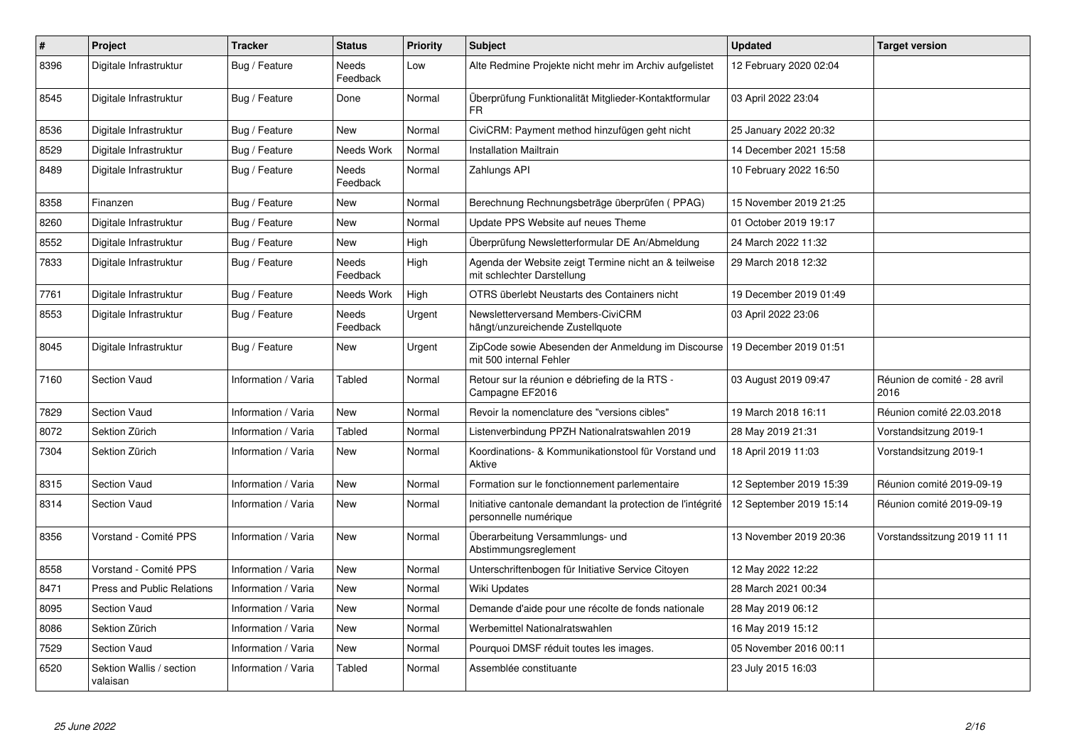| $\pmb{\#}$ | Project                              | <b>Tracker</b>      | <b>Status</b>     | <b>Priority</b> | <b>Subject</b>                                                                                         | <b>Updated</b>          | <b>Target version</b>                |
|------------|--------------------------------------|---------------------|-------------------|-----------------|--------------------------------------------------------------------------------------------------------|-------------------------|--------------------------------------|
| 8396       | Digitale Infrastruktur               | Bug / Feature       | Needs<br>Feedback | Low             | Alte Redmine Projekte nicht mehr im Archiv aufgelistet                                                 | 12 February 2020 02:04  |                                      |
| 8545       | Digitale Infrastruktur               | Bug / Feature       | Done              | Normal          | Überprüfung Funktionalität Mitglieder-Kontaktformular<br>FR.                                           | 03 April 2022 23:04     |                                      |
| 8536       | Digitale Infrastruktur               | Bug / Feature       | <b>New</b>        | Normal          | CiviCRM: Payment method hinzufügen geht nicht                                                          | 25 January 2022 20:32   |                                      |
| 8529       | Digitale Infrastruktur               | Bug / Feature       | Needs Work        | Normal          | <b>Installation Mailtrain</b>                                                                          | 14 December 2021 15:58  |                                      |
| 8489       | Digitale Infrastruktur               | Bug / Feature       | Needs<br>Feedback | Normal          | Zahlungs API                                                                                           | 10 February 2022 16:50  |                                      |
| 8358       | Finanzen                             | Bug / Feature       | <b>New</b>        | Normal          | Berechnung Rechnungsbeträge überprüfen (PPAG)                                                          | 15 November 2019 21:25  |                                      |
| 8260       | Digitale Infrastruktur               | Bug / Feature       | <b>New</b>        | Normal          | Update PPS Website auf neues Theme                                                                     | 01 October 2019 19:17   |                                      |
| 8552       | Digitale Infrastruktur               | Bug / Feature       | <b>New</b>        | High            | Überprüfung Newsletterformular DE An/Abmeldung                                                         | 24 March 2022 11:32     |                                      |
| 7833       | Digitale Infrastruktur               | Bug / Feature       | Needs<br>Feedback | High            | Agenda der Website zeigt Termine nicht an & teilweise<br>mit schlechter Darstellung                    | 29 March 2018 12:32     |                                      |
| 7761       | Digitale Infrastruktur               | Bug / Feature       | Needs Work        | High            | OTRS überlebt Neustarts des Containers nicht                                                           | 19 December 2019 01:49  |                                      |
| 8553       | Digitale Infrastruktur               | Bug / Feature       | Needs<br>Feedback | Urgent          | Newsletterversand Members-CiviCRM<br>hängt/unzureichende Zustellquote                                  | 03 April 2022 23:06     |                                      |
| 8045       | Digitale Infrastruktur               | Bug / Feature       | <b>New</b>        | Urgent          | ZipCode sowie Abesenden der Anmeldung im Discourse   19 December 2019 01:51<br>mit 500 internal Fehler |                         |                                      |
| 7160       | Section Vaud                         | Information / Varia | Tabled            | Normal          | Retour sur la réunion e débriefing de la RTS -<br>Campagne EF2016                                      | 03 August 2019 09:47    | Réunion de comité - 28 avril<br>2016 |
| 7829       | <b>Section Vaud</b>                  | Information / Varia | <b>New</b>        | Normal          | Revoir la nomenclature des "versions cibles"                                                           | 19 March 2018 16:11     | Réunion comité 22.03.2018            |
| 8072       | Sektion Zürich                       | Information / Varia | <b>Tabled</b>     | Normal          | Listenverbindung PPZH Nationalratswahlen 2019                                                          | 28 May 2019 21:31       | Vorstandsitzung 2019-1               |
| 7304       | Sektion Zürich                       | Information / Varia | <b>New</b>        | Normal          | Koordinations- & Kommunikationstool für Vorstand und<br>Aktive                                         | 18 April 2019 11:03     | Vorstandsitzung 2019-1               |
| 8315       | <b>Section Vaud</b>                  | Information / Varia | <b>New</b>        | Normal          | Formation sur le fonctionnement parlementaire                                                          | 12 September 2019 15:39 | Réunion comité 2019-09-19            |
| 8314       | Section Vaud                         | Information / Varia | <b>New</b>        | Normal          | Initiative cantonale demandant la protection de l'intégrité<br>personnelle numérique                   | 12 September 2019 15:14 | Réunion comité 2019-09-19            |
| 8356       | Vorstand - Comité PPS                | Information / Varia | <b>New</b>        | Normal          | Überarbeitung Versammlungs- und<br>Abstimmungsreglement                                                | 13 November 2019 20:36  | Vorstandssitzung 2019 11 11          |
| 8558       | Vorstand - Comité PPS                | Information / Varia | <b>New</b>        | Normal          | Unterschriftenbogen für Initiative Service Citoyen                                                     | 12 May 2022 12:22       |                                      |
| 8471       | <b>Press and Public Relations</b>    | Information / Varia | <b>New</b>        | Normal          | <b>Wiki Updates</b>                                                                                    | 28 March 2021 00:34     |                                      |
| 8095       | Section Vaud                         | Information / Varia | <b>New</b>        | Normal          | Demande d'aide pour une récolte de fonds nationale                                                     | 28 May 2019 06:12       |                                      |
| 8086       | Sektion Zürich                       | Information / Varia | <b>New</b>        | Normal          | Werbemittel Nationalratswahlen                                                                         | 16 May 2019 15:12       |                                      |
| 7529       | Section Vaud                         | Information / Varia | <b>New</b>        | Normal          | Pourquoi DMSF réduit toutes les images.                                                                | 05 November 2016 00:11  |                                      |
| 6520       | Sektion Wallis / section<br>valaisan | Information / Varia | Tabled            | Normal          | Assemblée constituante                                                                                 | 23 July 2015 16:03      |                                      |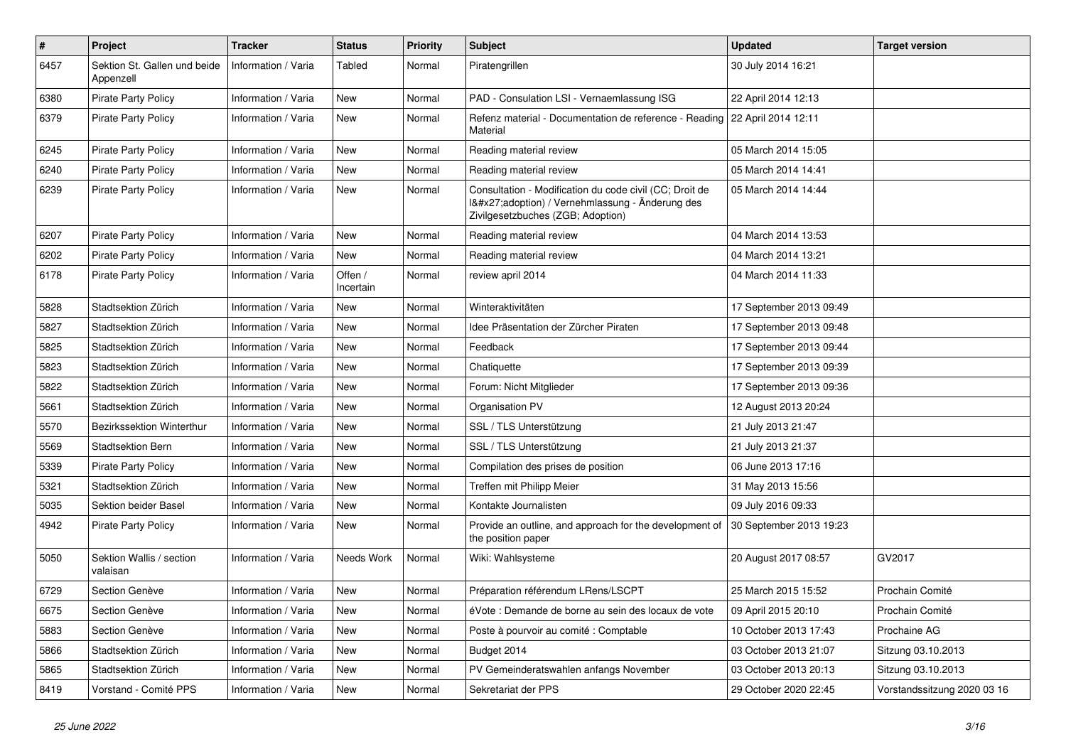| $\pmb{\#}$ | Project                                   | <b>Tracker</b>      | <b>Status</b>        | <b>Priority</b> | <b>Subject</b>                                                                                                                              | <b>Updated</b>          | <b>Target version</b>       |
|------------|-------------------------------------------|---------------------|----------------------|-----------------|---------------------------------------------------------------------------------------------------------------------------------------------|-------------------------|-----------------------------|
| 6457       | Sektion St. Gallen und beide<br>Appenzell | Information / Varia | Tabled               | Normal          | Piratengrillen                                                                                                                              | 30 July 2014 16:21      |                             |
| 6380       | <b>Pirate Party Policy</b>                | Information / Varia | New                  | Normal          | PAD - Consulation LSI - Vernaemlassung ISG                                                                                                  | 22 April 2014 12:13     |                             |
| 6379       | <b>Pirate Party Policy</b>                | Information / Varia | New                  | Normal          | Refenz material - Documentation de reference - Reading   22 April 2014 12:11<br>Material                                                    |                         |                             |
| 6245       | <b>Pirate Party Policy</b>                | Information / Varia | <b>New</b>           | Normal          | Reading material review                                                                                                                     | 05 March 2014 15:05     |                             |
| 6240       | Pirate Party Policy                       | Information / Varia | <b>New</b>           | Normal          | Reading material review                                                                                                                     | 05 March 2014 14:41     |                             |
| 6239       | <b>Pirate Party Policy</b>                | Information / Varia | New                  | Normal          | Consultation - Modification du code civil (CC; Droit de<br>I'adoption) / Vernehmlassung - Änderung des<br>Zivilgesetzbuches (ZGB; Adoption) | 05 March 2014 14:44     |                             |
| 6207       | <b>Pirate Party Policy</b>                | Information / Varia | New                  | Normal          | Reading material review                                                                                                                     | 04 March 2014 13:53     |                             |
| 6202       | Pirate Party Policy                       | Information / Varia | New                  | Normal          | Reading material review                                                                                                                     | 04 March 2014 13:21     |                             |
| 6178       | Pirate Party Policy                       | Information / Varia | Offen /<br>Incertain | Normal          | review april 2014                                                                                                                           | 04 March 2014 11:33     |                             |
| 5828       | Stadtsektion Zürich                       | Information / Varia | <b>New</b>           | Normal          | Winteraktivitäten                                                                                                                           | 17 September 2013 09:49 |                             |
| 5827       | Stadtsektion Zürich                       | Information / Varia | New                  | Normal          | Idee Präsentation der Zürcher Piraten                                                                                                       | 17 September 2013 09:48 |                             |
| 5825       | Stadtsektion Zürich                       | Information / Varia | <b>New</b>           | Normal          | Feedback                                                                                                                                    | 17 September 2013 09:44 |                             |
| 5823       | Stadtsektion Zürich                       | Information / Varia | New                  | Normal          | Chatiquette                                                                                                                                 | 17 September 2013 09:39 |                             |
| 5822       | Stadtsektion Zürich                       | Information / Varia | New                  | Normal          | Forum: Nicht Mitglieder                                                                                                                     | 17 September 2013 09:36 |                             |
| 5661       | Stadtsektion Zürich                       | Information / Varia | New                  | Normal          | Organisation PV                                                                                                                             | 12 August 2013 20:24    |                             |
| 5570       | Bezirkssektion Winterthur                 | Information / Varia | <b>New</b>           | Normal          | SSL / TLS Unterstützung                                                                                                                     | 21 July 2013 21:47      |                             |
| 5569       | Stadtsektion Bern                         | Information / Varia | <b>New</b>           | Normal          | SSL / TLS Unterstützung                                                                                                                     | 21 July 2013 21:37      |                             |
| 5339       | Pirate Party Policy                       | Information / Varia | <b>New</b>           | Normal          | Compilation des prises de position                                                                                                          | 06 June 2013 17:16      |                             |
| 5321       | Stadtsektion Zürich                       | Information / Varia | New                  | Normal          | Treffen mit Philipp Meier                                                                                                                   | 31 May 2013 15:56       |                             |
| 5035       | Sektion beider Basel                      | Information / Varia | New                  | Normal          | Kontakte Journalisten                                                                                                                       | 09 July 2016 09:33      |                             |
| 4942       | Pirate Party Policy                       | Information / Varia | <b>New</b>           | Normal          | Provide an outline, and approach for the development of<br>the position paper                                                               | 30 September 2013 19:23 |                             |
| 5050       | Sektion Wallis / section<br>valaisan      | Information / Varia | Needs Work           | Normal          | Wiki: Wahlsysteme                                                                                                                           | 20 August 2017 08:57    | GV2017                      |
| 6729       | Section Genève                            | Information / Varia | <b>New</b>           | Normal          | Préparation référendum LRens/LSCPT                                                                                                          | 25 March 2015 15:52     | Prochain Comité             |
| 6675       | Section Genève                            | Information / Varia | New                  | Normal          | éVote : Demande de borne au sein des locaux de vote                                                                                         | 09 April 2015 20:10     | Prochain Comité             |
| 5883       | Section Genève                            | Information / Varia | New                  | Normal          | Poste à pourvoir au comité : Comptable                                                                                                      | 10 October 2013 17:43   | Prochaine AG                |
| 5866       | Stadtsektion Zürich                       | Information / Varia | New                  | Normal          | Budget 2014                                                                                                                                 | 03 October 2013 21:07   | Sitzung 03.10.2013          |
| 5865       | Stadtsektion Zürich                       | Information / Varia | New                  | Normal          | PV Gemeinderatswahlen anfangs November                                                                                                      | 03 October 2013 20:13   | Sitzung 03.10.2013          |
| 8419       | Vorstand - Comité PPS                     | Information / Varia | New                  | Normal          | Sekretariat der PPS                                                                                                                         | 29 October 2020 22:45   | Vorstandssitzung 2020 03 16 |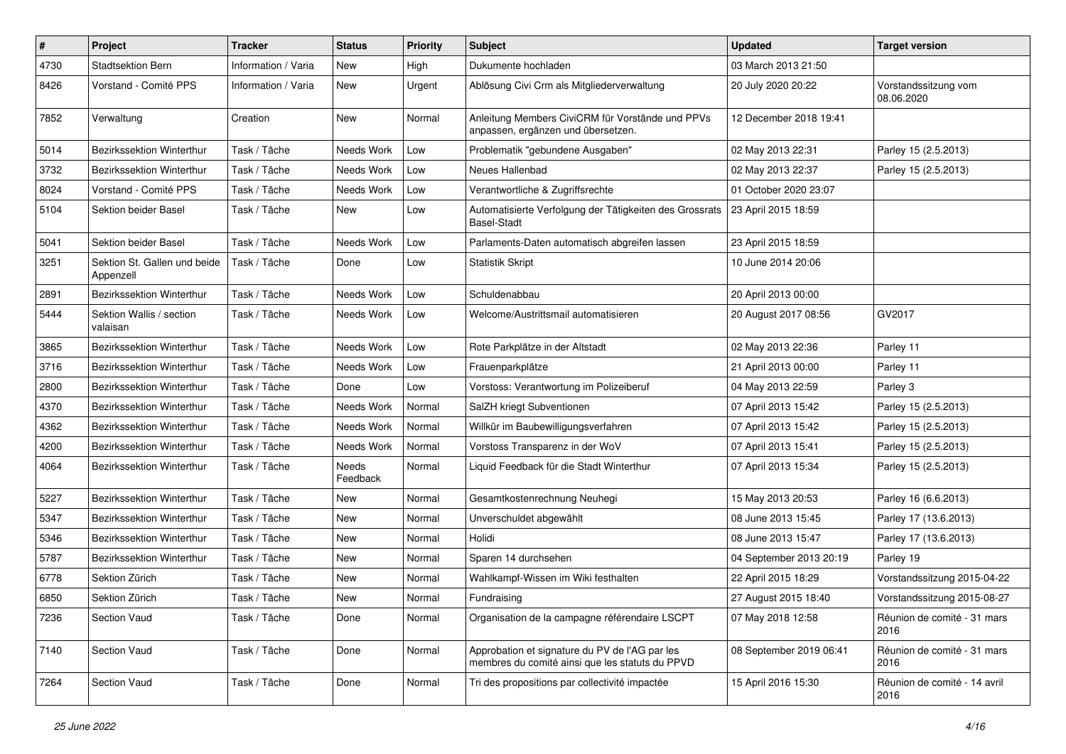| $\#$ | Project                                   | <b>Tracker</b>      | <b>Status</b>            | <b>Priority</b> | <b>Subject</b>                                                                                    | <b>Updated</b>          | <b>Target version</b>                |
|------|-------------------------------------------|---------------------|--------------------------|-----------------|---------------------------------------------------------------------------------------------------|-------------------------|--------------------------------------|
| 4730 | <b>Stadtsektion Bern</b>                  | Information / Varia | New                      | High            | Dukumente hochladen                                                                               | 03 March 2013 21:50     |                                      |
| 8426 | Vorstand - Comité PPS                     | Information / Varia | New                      | Urgent          | Ablösung Civi Crm als Mitgliederverwaltung                                                        | 20 July 2020 20:22      | Vorstandssitzung vom<br>08.06.2020   |
| 7852 | Verwaltung                                | Creation            | <b>New</b>               | Normal          | Anleitung Members CiviCRM für Vorstände und PPVs<br>anpassen, ergänzen und übersetzen.            | 12 December 2018 19:41  |                                      |
| 5014 | Bezirkssektion Winterthur                 | Task / Tâche        | Needs Work               | Low             | Problematik "gebundene Ausgaben"                                                                  | 02 May 2013 22:31       | Parley 15 (2.5.2013)                 |
| 3732 | Bezirkssektion Winterthur                 | Task / Tâche        | Needs Work               | Low             | Neues Hallenbad                                                                                   | 02 May 2013 22:37       | Parley 15 (2.5.2013)                 |
| 8024 | Vorstand - Comité PPS                     | Task / Tâche        | Needs Work               | Low             | Verantwortliche & Zugriffsrechte                                                                  | 01 October 2020 23:07   |                                      |
| 5104 | Sektion beider Basel                      | Task / Tâche        | New                      | Low             | Automatisierte Verfolgung der Tätigkeiten des Grossrats<br><b>Basel-Stadt</b>                     | 23 April 2015 18:59     |                                      |
| 5041 | Sektion beider Basel                      | Task / Tâche        | Needs Work               | Low             | Parlaments-Daten automatisch abgreifen lassen                                                     | 23 April 2015 18:59     |                                      |
| 3251 | Sektion St. Gallen und beide<br>Appenzell | Task / Tâche        | Done                     | Low             | <b>Statistik Skript</b>                                                                           | 10 June 2014 20:06      |                                      |
| 2891 | Bezirkssektion Winterthur                 | Task / Tâche        | Needs Work               | Low             | Schuldenabbau                                                                                     | 20 April 2013 00:00     |                                      |
| 5444 | Sektion Wallis / section<br>valaisan      | Task / Tâche        | Needs Work               | Low             | Welcome/Austrittsmail automatisieren                                                              | 20 August 2017 08:56    | GV2017                               |
| 3865 | <b>Bezirkssektion Winterthur</b>          | Task / Tâche        | Needs Work               | Low             | Rote Parkplätze in der Altstadt                                                                   | 02 May 2013 22:36       | Parley 11                            |
| 3716 | Bezirkssektion Winterthur                 | Task / Tâche        | Needs Work               | Low             | Frauenparkplätze                                                                                  | 21 April 2013 00:00     | Parley 11                            |
| 2800 | Bezirkssektion Winterthur                 | Task / Tâche        | Done                     | Low             | Vorstoss: Verantwortung im Polizeiberuf                                                           | 04 May 2013 22:59       | Parley 3                             |
| 4370 | Bezirkssektion Winterthur                 | Task / Tâche        | Needs Work               | Normal          | SalZH kriegt Subventionen                                                                         | 07 April 2013 15:42     | Parley 15 (2.5.2013)                 |
| 4362 | Bezirkssektion Winterthur                 | Task / Tâche        | Needs Work               | Normal          | Willkür im Baubewilligungsverfahren                                                               | 07 April 2013 15:42     | Parley 15 (2.5.2013)                 |
| 4200 | Bezirkssektion Winterthur                 | Task / Tâche        | Needs Work               | Normal          | Vorstoss Transparenz in der WoV                                                                   | 07 April 2013 15:41     | Parley 15 (2.5.2013)                 |
| 4064 | Bezirkssektion Winterthur                 | Task / Tâche        | <b>Needs</b><br>Feedback | Normal          | Liquid Feedback für die Stadt Winterthur                                                          | 07 April 2013 15:34     | Parley 15 (2.5.2013)                 |
| 5227 | <b>Bezirkssektion Winterthur</b>          | Task / Tâche        | <b>New</b>               | Normal          | Gesamtkostenrechnung Neuhegi                                                                      | 15 May 2013 20:53       | Parley 16 (6.6.2013)                 |
| 5347 | Bezirkssektion Winterthur                 | Task / Tâche        | <b>New</b>               | Normal          | Unverschuldet abgewählt                                                                           | 08 June 2013 15:45      | Parley 17 (13.6.2013)                |
| 5346 | Bezirkssektion Winterthur                 | Task / Tâche        | <b>New</b>               | Normal          | Holidi                                                                                            | 08 June 2013 15:47      | Parley 17 (13.6.2013)                |
| 5787 | Bezirkssektion Winterthur                 | Task / Tâche        | New                      | Normal          | Sparen 14 durchsehen                                                                              | 04 September 2013 20:19 | Parley 19                            |
| 6778 | Sektion Zürich                            | Task / Tâche        | New                      | Normal          | Wahlkampf-Wissen im Wiki festhalten                                                               | 22 April 2015 18:29     | Vorstandssitzung 2015-04-22          |
| 6850 | Sektion Zürich                            | Task / Tâche        | New                      | Normal          | Fundraising                                                                                       | 27 August 2015 18:40    | Vorstandssitzung 2015-08-27          |
| 7236 | Section Vaud                              | Task / Tâche        | Done                     | Normal          | Organisation de la campagne référendaire LSCPT                                                    | 07 May 2018 12:58       | Réunion de comité - 31 mars<br>2016  |
| 7140 | Section Vaud                              | Task / Tâche        | Done                     | Normal          | Approbation et signature du PV de l'AG par les<br>membres du comité ainsi que les statuts du PPVD | 08 September 2019 06:41 | Réunion de comité - 31 mars<br>2016  |
| 7264 | Section Vaud                              | Task / Tâche        | Done                     | Normal          | Tri des propositions par collectivité impactée                                                    | 15 April 2016 15:30     | Réunion de comité - 14 avril<br>2016 |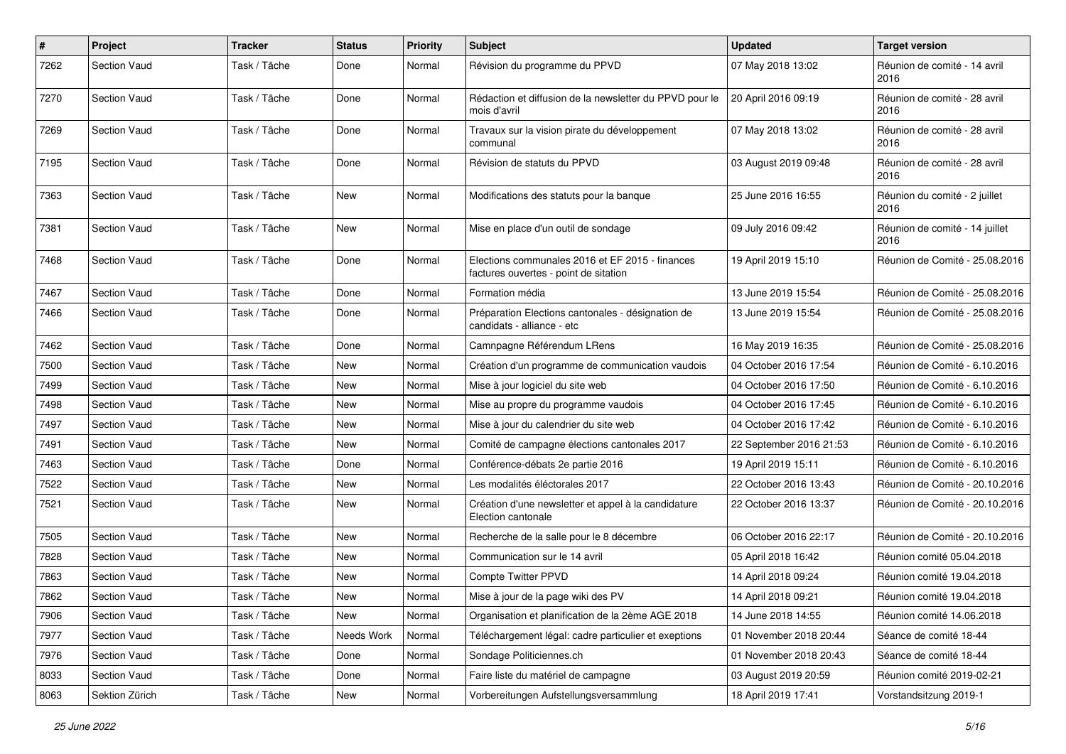| $\pmb{\#}$ | Project             | <b>Tracker</b> | <b>Status</b> | <b>Priority</b> | <b>Subject</b>                                                                           | <b>Updated</b>          | <b>Target version</b>                  |
|------------|---------------------|----------------|---------------|-----------------|------------------------------------------------------------------------------------------|-------------------------|----------------------------------------|
| 7262       | <b>Section Vaud</b> | Task / Tâche   | Done          | Normal          | Révision du programme du PPVD                                                            | 07 May 2018 13:02       | Réunion de comité - 14 avril<br>2016   |
| 7270       | <b>Section Vaud</b> | Task / Tâche   | Done          | Normal          | Rédaction et diffusion de la newsletter du PPVD pour le<br>mois d'avril                  | 20 April 2016 09:19     | Réunion de comité - 28 avril<br>2016   |
| 7269       | Section Vaud        | Task / Tâche   | Done          | Normal          | Travaux sur la vision pirate du développement<br>communal                                | 07 May 2018 13:02       | Réunion de comité - 28 avril<br>2016   |
| 7195       | <b>Section Vaud</b> | Task / Tâche   | Done          | Normal          | Révision de statuts du PPVD                                                              | 03 August 2019 09:48    | Réunion de comité - 28 avril<br>2016   |
| 7363       | <b>Section Vaud</b> | Task / Tâche   | New           | Normal          | Modifications des statuts pour la banque                                                 | 25 June 2016 16:55      | Réunion du comité - 2 juillet<br>2016  |
| 7381       | <b>Section Vaud</b> | Task / Tâche   | New           | Normal          | Mise en place d'un outil de sondage                                                      | 09 July 2016 09:42      | Réunion de comité - 14 juillet<br>2016 |
| 7468       | <b>Section Vaud</b> | Task / Tâche   | Done          | Normal          | Elections communales 2016 et EF 2015 - finances<br>factures ouvertes - point de sitation | 19 April 2019 15:10     | Réunion de Comité - 25.08.2016         |
| 7467       | <b>Section Vaud</b> | Task / Tâche   | Done          | Normal          | Formation média                                                                          | 13 June 2019 15:54      | Réunion de Comité - 25.08.2016         |
| 7466       | Section Vaud        | Task / Tâche   | Done          | Normal          | Préparation Elections cantonales - désignation de<br>candidats - alliance - etc          | 13 June 2019 15:54      | Réunion de Comité - 25.08.2016         |
| 7462       | <b>Section Vaud</b> | Task / Tâche   | Done          | Normal          | Camnpagne Référendum LRens                                                               | 16 May 2019 16:35       | Réunion de Comité - 25.08.2016         |
| 7500       | <b>Section Vaud</b> | Task / Tâche   | New           | Normal          | Création d'un programme de communication vaudois                                         | 04 October 2016 17:54   | Réunion de Comité - 6.10.2016          |
| 7499       | <b>Section Vaud</b> | Task / Tâche   | <b>New</b>    | Normal          | Mise à jour logiciel du site web                                                         | 04 October 2016 17:50   | Réunion de Comité - 6.10.2016          |
| 7498       | <b>Section Vaud</b> | Task / Tâche   | <b>New</b>    | Normal          | Mise au propre du programme vaudois                                                      | 04 October 2016 17:45   | Réunion de Comité - 6.10.2016          |
| 7497       | <b>Section Vaud</b> | Task / Tâche   | New           | Normal          | Mise à jour du calendrier du site web                                                    | 04 October 2016 17:42   | Réunion de Comité - 6.10.2016          |
| 7491       | <b>Section Vaud</b> | Task / Tâche   | <b>New</b>    | Normal          | Comité de campagne élections cantonales 2017                                             | 22 September 2016 21:53 | Réunion de Comité - 6.10.2016          |
| 7463       | <b>Section Vaud</b> | Task / Tâche   | Done          | Normal          | Conférence-débats 2e partie 2016                                                         | 19 April 2019 15:11     | Réunion de Comité - 6.10.2016          |
| 7522       | <b>Section Vaud</b> | Task / Tâche   | New           | Normal          | Les modalités éléctorales 2017                                                           | 22 October 2016 13:43   | Réunion de Comité - 20.10.2016         |
| 7521       | <b>Section Vaud</b> | Task / Tâche   | <b>New</b>    | Normal          | Création d'une newsletter et appel à la candidature<br>Election cantonale                | 22 October 2016 13:37   | Réunion de Comité - 20.10.2016         |
| 7505       | Section Vaud        | Task / Tâche   | <b>New</b>    | Normal          | Recherche de la salle pour le 8 décembre                                                 | 06 October 2016 22:17   | Réunion de Comité - 20.10.2016         |
| 7828       | <b>Section Vaud</b> | Task / Tâche   | <b>New</b>    | Normal          | Communication sur le 14 avril                                                            | 05 April 2018 16:42     | Réunion comité 05.04.2018              |
| 7863       | <b>Section Vaud</b> | Task / Tâche   | New           | Normal          | <b>Compte Twitter PPVD</b>                                                               | 14 April 2018 09:24     | Réunion comité 19.04.2018              |
| 7862       | <b>Section Vaud</b> | Task / Tâche   | <b>New</b>    | Normal          | Mise à jour de la page wiki des PV                                                       | 14 April 2018 09:21     | Réunion comité 19.04.2018              |
| 7906       | Section Vaud        | Task / Tâche   | New           | Normal          | Organisation et planification de la 2ème AGE 2018                                        | 14 June 2018 14:55      | Réunion comité 14.06.2018              |
| 7977       | Section Vaud        | Task / Tâche   | Needs Work    | Normal          | Téléchargement légal: cadre particulier et exeptions                                     | 01 November 2018 20:44  | Séance de comité 18-44                 |
| 7976       | Section Vaud        | Task / Tâche   | Done          | Normal          | Sondage Politiciennes.ch                                                                 | 01 November 2018 20:43  | Séance de comité 18-44                 |
| 8033       | Section Vaud        | Task / Tâche   | Done          | Normal          | Faire liste du matériel de campagne                                                      | 03 August 2019 20:59    | Réunion comité 2019-02-21              |
| 8063       | Sektion Zürich      | Task / Tâche   | New           | Normal          | Vorbereitungen Aufstellungsversammlung                                                   | 18 April 2019 17:41     | Vorstandsitzung 2019-1                 |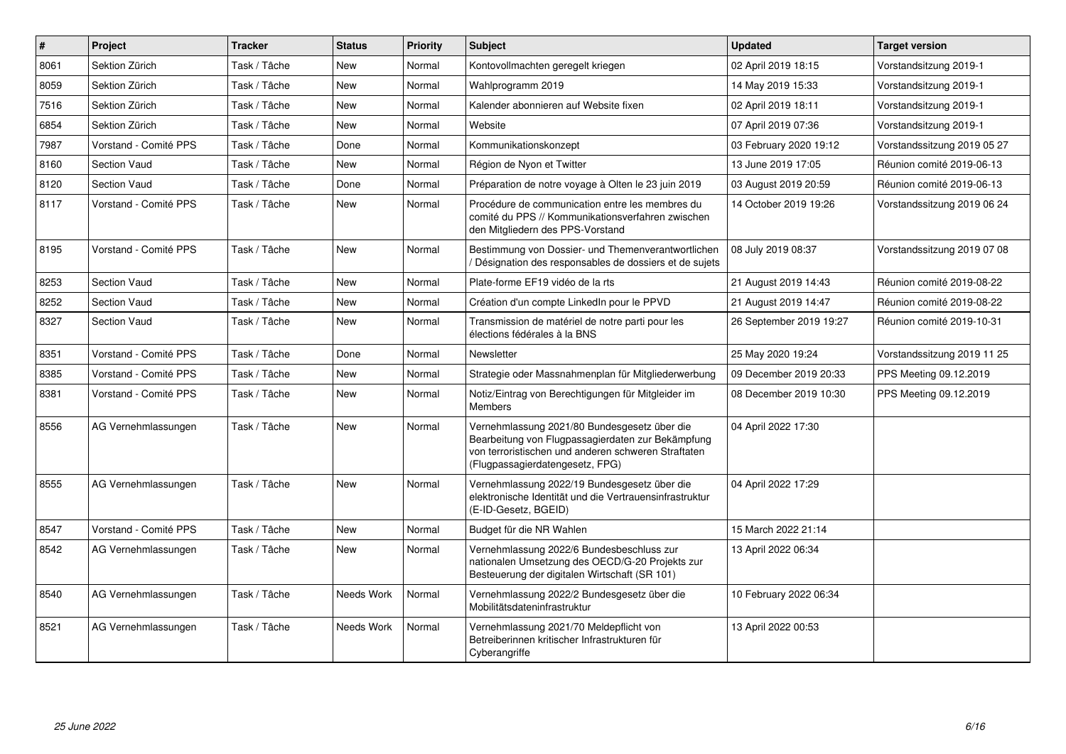| #    | <b>Project</b>        | <b>Tracker</b> | <b>Status</b> | <b>Priority</b> | <b>Subject</b>                                                                                                                                                                              | <b>Updated</b>          | <b>Target version</b>       |
|------|-----------------------|----------------|---------------|-----------------|---------------------------------------------------------------------------------------------------------------------------------------------------------------------------------------------|-------------------------|-----------------------------|
| 8061 | Sektion Zürich        | Task / Tâche   | <b>New</b>    | Normal          | Kontovollmachten geregelt kriegen                                                                                                                                                           | 02 April 2019 18:15     | Vorstandsitzung 2019-1      |
| 8059 | Sektion Zürich        | Task / Tâche   | <b>New</b>    | Normal          | Wahlprogramm 2019                                                                                                                                                                           | 14 May 2019 15:33       | Vorstandsitzung 2019-1      |
| 7516 | Sektion Zürich        | Task / Tâche   | <b>New</b>    | Normal          | Kalender abonnieren auf Website fixen                                                                                                                                                       | 02 April 2019 18:11     | Vorstandsitzung 2019-1      |
| 6854 | Sektion Zürich        | Task / Tâche   | New           | Normal          | Website                                                                                                                                                                                     | 07 April 2019 07:36     | Vorstandsitzung 2019-1      |
| 7987 | Vorstand - Comité PPS | Task / Tâche   | Done          | Normal          | Kommunikationskonzept                                                                                                                                                                       | 03 February 2020 19:12  | Vorstandssitzung 2019 05 27 |
| 8160 | <b>Section Vaud</b>   | Task / Tâche   | New           | Normal          | Région de Nyon et Twitter                                                                                                                                                                   | 13 June 2019 17:05      | Réunion comité 2019-06-13   |
| 8120 | <b>Section Vaud</b>   | Task / Tâche   | Done          | Normal          | Préparation de notre voyage à Olten le 23 juin 2019                                                                                                                                         | 03 August 2019 20:59    | Réunion comité 2019-06-13   |
| 8117 | Vorstand - Comité PPS | Task / Tâche   | <b>New</b>    | Normal          | Procédure de communication entre les membres du<br>comité du PPS // Kommunikationsverfahren zwischen<br>den Mitgliedern des PPS-Vorstand                                                    | 14 October 2019 19:26   | Vorstandssitzung 2019 06 24 |
| 8195 | Vorstand - Comité PPS | Task / Tâche   | <b>New</b>    | Normal          | Bestimmung von Dossier- und Themenverantwortlichen<br>Désignation des responsables de dossiers et de sujets                                                                                 | 08 July 2019 08:37      | Vorstandssitzung 2019 07 08 |
| 8253 | <b>Section Vaud</b>   | Task / Tâche   | <b>New</b>    | Normal          | Plate-forme EF19 vidéo de la rts                                                                                                                                                            | 21 August 2019 14:43    | Réunion comité 2019-08-22   |
| 8252 | <b>Section Vaud</b>   | Task / Tâche   | <b>New</b>    | Normal          | Création d'un compte LinkedIn pour le PPVD                                                                                                                                                  | 21 August 2019 14:47    | Réunion comité 2019-08-22   |
| 8327 | <b>Section Vaud</b>   | Task / Tâche   | <b>New</b>    | Normal          | Transmission de matériel de notre parti pour les<br>élections fédérales à la BNS                                                                                                            | 26 September 2019 19:27 | Réunion comité 2019-10-31   |
| 8351 | Vorstand - Comité PPS | Task / Tâche   | Done          | Normal          | Newsletter                                                                                                                                                                                  | 25 May 2020 19:24       | Vorstandssitzung 2019 11 25 |
| 8385 | Vorstand - Comité PPS | Task / Tâche   | <b>New</b>    | Normal          | Strategie oder Massnahmenplan für Mitgliederwerbung                                                                                                                                         | 09 December 2019 20:33  | PPS Meeting 09.12.2019      |
| 8381 | Vorstand - Comité PPS | Task / Tâche   | <b>New</b>    | Normal          | Notiz/Eintrag von Berechtigungen für Mitgleider im<br><b>Members</b>                                                                                                                        | 08 December 2019 10:30  | PPS Meeting 09.12.2019      |
| 8556 | AG Vernehmlassungen   | Task / Tâche   | <b>New</b>    | Normal          | Vernehmlassung 2021/80 Bundesgesetz über die<br>Bearbeitung von Flugpassagierdaten zur Bekämpfung<br>von terroristischen und anderen schweren Straftaten<br>(Flugpassagierdatengesetz, FPG) | 04 April 2022 17:30     |                             |
| 8555 | AG Vernehmlassungen   | Task / Tâche   | <b>New</b>    | Normal          | Vernehmlassung 2022/19 Bundesgesetz über die<br>elektronische Identität und die Vertrauensinfrastruktur<br>(E-ID-Gesetz, BGEID)                                                             | 04 April 2022 17:29     |                             |
| 8547 | Vorstand - Comité PPS | Task / Tâche   | <b>New</b>    | Normal          | Budget für die NR Wahlen                                                                                                                                                                    | 15 March 2022 21:14     |                             |
| 8542 | AG Vernehmlassungen   | Task / Tâche   | New           | Normal          | Vernehmlassung 2022/6 Bundesbeschluss zur<br>nationalen Umsetzung des OECD/G-20 Projekts zur<br>Besteuerung der digitalen Wirtschaft (SR 101)                                               | 13 April 2022 06:34     |                             |
| 8540 | AG Vernehmlassungen   | Task / Tâche   | Needs Work    | Normal          | Vernehmlassung 2022/2 Bundesgesetz über die<br>Mobilitätsdateninfrastruktur                                                                                                                 | 10 February 2022 06:34  |                             |
| 8521 | AG Vernehmlassungen   | Task / Tâche   | Needs Work    | Normal          | Vernehmlassung 2021/70 Meldepflicht von<br>Betreiberinnen kritischer Infrastrukturen für<br>Cyberangriffe                                                                                   | 13 April 2022 00:53     |                             |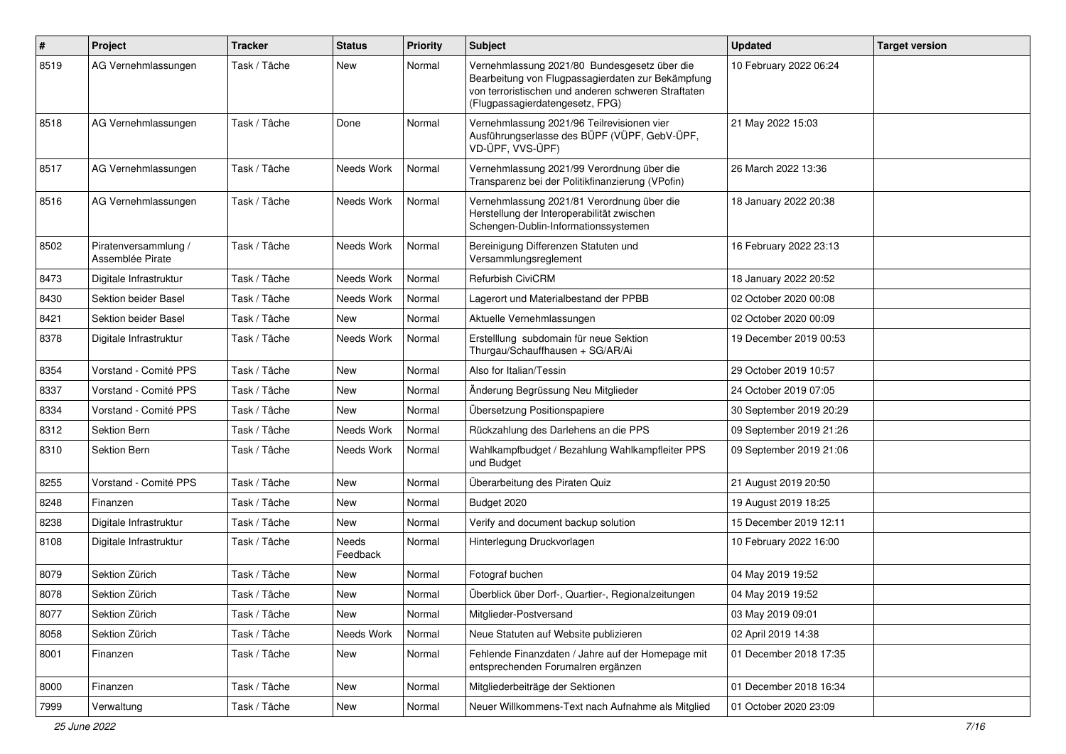| $\pmb{\#}$ | Project                                  | <b>Tracker</b> | <b>Status</b>     | <b>Priority</b> | <b>Subject</b>                                                                                                                                                                              | <b>Updated</b>          | <b>Target version</b> |
|------------|------------------------------------------|----------------|-------------------|-----------------|---------------------------------------------------------------------------------------------------------------------------------------------------------------------------------------------|-------------------------|-----------------------|
| 8519       | AG Vernehmlassungen                      | Task / Tâche   | New               | Normal          | Vernehmlassung 2021/80 Bundesgesetz über die<br>Bearbeitung von Flugpassagierdaten zur Bekämpfung<br>von terroristischen und anderen schweren Straftaten<br>(Flugpassagierdatengesetz, FPG) | 10 February 2022 06:24  |                       |
| 8518       | AG Vernehmlassungen                      | Task / Tâche   | Done              | Normal          | Vernehmlassung 2021/96 Teilrevisionen vier<br>Ausführungserlasse des BÜPF (VÜPF, GebV-ÜPF,<br>VD-ÜPF, VVS-ÜPF)                                                                              | 21 May 2022 15:03       |                       |
| 8517       | AG Vernehmlassungen                      | Task / Tâche   | Needs Work        | Normal          | Vernehmlassung 2021/99 Verordnung über die<br>Transparenz bei der Politikfinanzierung (VPofin)                                                                                              | 26 March 2022 13:36     |                       |
| 8516       | AG Vernehmlassungen                      | Task / Tâche   | Needs Work        | Normal          | Vernehmlassung 2021/81 Verordnung über die<br>Herstellung der Interoperabilität zwischen<br>Schengen-Dublin-Informationssystemen                                                            | 18 January 2022 20:38   |                       |
| 8502       | Piratenversammlung /<br>Assemblée Pirate | Task / Tâche   | Needs Work        | Normal          | Bereinigung Differenzen Statuten und<br>Versammlungsreglement                                                                                                                               | 16 February 2022 23:13  |                       |
| 8473       | Digitale Infrastruktur                   | Task / Tâche   | Needs Work        | Normal          | <b>Refurbish CiviCRM</b>                                                                                                                                                                    | 18 January 2022 20:52   |                       |
| 8430       | Sektion beider Basel                     | Task / Tâche   | Needs Work        | Normal          | Lagerort und Materialbestand der PPBB                                                                                                                                                       | 02 October 2020 00:08   |                       |
| 8421       | Sektion beider Basel                     | Task / Tâche   | New               | Normal          | Aktuelle Vernehmlassungen                                                                                                                                                                   | 02 October 2020 00:09   |                       |
| 8378       | Digitale Infrastruktur                   | Task / Tâche   | Needs Work        | Normal          | Erstelllung subdomain für neue Sektion<br>Thurgau/Schauffhausen + SG/AR/Ai                                                                                                                  | 19 December 2019 00:53  |                       |
| 8354       | Vorstand - Comité PPS                    | Task / Tâche   | <b>New</b>        | Normal          | Also for Italian/Tessin                                                                                                                                                                     | 29 October 2019 10:57   |                       |
| 8337       | Vorstand - Comité PPS                    | Task / Tâche   | <b>New</b>        | Normal          | Änderung Begrüssung Neu Mitglieder                                                                                                                                                          | 24 October 2019 07:05   |                       |
| 8334       | Vorstand - Comité PPS                    | Task / Tâche   | New               | Normal          | Übersetzung Positionspapiere                                                                                                                                                                | 30 September 2019 20:29 |                       |
| 8312       | Sektion Bern                             | Task / Tâche   | Needs Work        | Normal          | Rückzahlung des Darlehens an die PPS                                                                                                                                                        | 09 September 2019 21:26 |                       |
| 8310       | Sektion Bern                             | Task / Tâche   | Needs Work        | Normal          | Wahlkampfbudget / Bezahlung Wahlkampfleiter PPS<br>und Budget                                                                                                                               | 09 September 2019 21:06 |                       |
| 8255       | Vorstand - Comité PPS                    | Task / Tâche   | New               | Normal          | Überarbeitung des Piraten Quiz                                                                                                                                                              | 21 August 2019 20:50    |                       |
| 8248       | Finanzen                                 | Task / Tâche   | New               | Normal          | Budget 2020                                                                                                                                                                                 | 19 August 2019 18:25    |                       |
| 8238       | Digitale Infrastruktur                   | Task / Tâche   | New               | Normal          | Verify and document backup solution                                                                                                                                                         | 15 December 2019 12:11  |                       |
| 8108       | Digitale Infrastruktur                   | Task / Tâche   | Needs<br>Feedback | Normal          | Hinterlegung Druckvorlagen                                                                                                                                                                  | 10 February 2022 16:00  |                       |
| 8079       | Sektion Zürich                           | Task / Tâche   | New               | Normal          | Fotograf buchen                                                                                                                                                                             | 04 May 2019 19:52       |                       |
| 8078       | Sektion Zürich                           | Task / Tâche   | New               | Normal          | Überblick über Dorf-, Quartier-, Regionalzeitungen                                                                                                                                          | 04 May 2019 19:52       |                       |
| 8077       | Sektion Zürich                           | Task / Tâche   | New               | Normal          | Mitglieder-Postversand                                                                                                                                                                      | 03 May 2019 09:01       |                       |
| 8058       | Sektion Zürich                           | Task / Tâche   | Needs Work        | Normal          | Neue Statuten auf Website publizieren                                                                                                                                                       | 02 April 2019 14:38     |                       |
| 8001       | Finanzen                                 | Task / Tâche   | New               | Normal          | Fehlende Finanzdaten / Jahre auf der Homepage mit<br>entsprechenden Forumalren ergänzen                                                                                                     | 01 December 2018 17:35  |                       |
| 8000       | Finanzen                                 | Task / Tâche   | New               | Normal          | Mitgliederbeiträge der Sektionen                                                                                                                                                            | 01 December 2018 16:34  |                       |
| 7999       | Verwaltung                               | Task / Tâche   | New               | Normal          | Neuer Willkommens-Text nach Aufnahme als Mitglied                                                                                                                                           | 01 October 2020 23:09   |                       |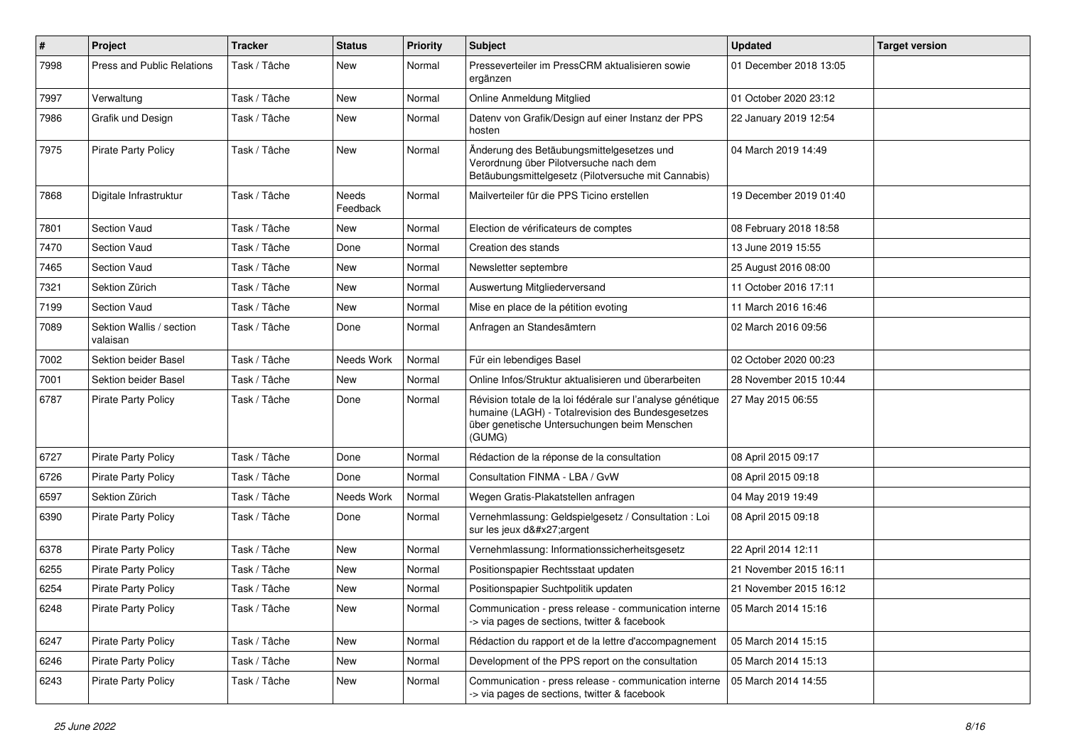| $\pmb{\#}$ | Project                              | <b>Tracker</b> | <b>Status</b>     | <b>Priority</b> | <b>Subject</b>                                                                                                                                                            | <b>Updated</b>         | <b>Target version</b> |
|------------|--------------------------------------|----------------|-------------------|-----------------|---------------------------------------------------------------------------------------------------------------------------------------------------------------------------|------------------------|-----------------------|
| 7998       | Press and Public Relations           | Task / Tâche   | New               | Normal          | Presseverteiler im PressCRM aktualisieren sowie<br>ergänzen                                                                                                               | 01 December 2018 13:05 |                       |
| 7997       | Verwaltung                           | Task / Tâche   | New               | Normal          | Online Anmeldung Mitglied                                                                                                                                                 | 01 October 2020 23:12  |                       |
| 7986       | Grafik und Design                    | Task / Tâche   | New               | Normal          | Datenv von Grafik/Design auf einer Instanz der PPS<br>hosten                                                                                                              | 22 January 2019 12:54  |                       |
| 7975       | <b>Pirate Party Policy</b>           | Task / Tâche   | <b>New</b>        | Normal          | Änderung des Betäubungsmittelgesetzes und<br>Verordnung über Pilotversuche nach dem<br>Betäubungsmittelgesetz (Pilotversuche mit Cannabis)                                | 04 March 2019 14:49    |                       |
| 7868       | Digitale Infrastruktur               | Task / Tâche   | Needs<br>Feedback | Normal          | Mailverteiler für die PPS Ticino erstellen                                                                                                                                | 19 December 2019 01:40 |                       |
| 7801       | Section Vaud                         | Task / Tâche   | New               | Normal          | Election de vérificateurs de comptes                                                                                                                                      | 08 February 2018 18:58 |                       |
| 7470       | Section Vaud                         | Task / Tâche   | Done              | Normal          | Creation des stands                                                                                                                                                       | 13 June 2019 15:55     |                       |
| 7465       | <b>Section Vaud</b>                  | Task / Tâche   | <b>New</b>        | Normal          | Newsletter septembre                                                                                                                                                      | 25 August 2016 08:00   |                       |
| 7321       | Sektion Zürich                       | Task / Tâche   | New               | Normal          | Auswertung Mitgliederversand                                                                                                                                              | 11 October 2016 17:11  |                       |
| 7199       | Section Vaud                         | Task / Tâche   | New               | Normal          | Mise en place de la pétition evoting                                                                                                                                      | 11 March 2016 16:46    |                       |
| 7089       | Sektion Wallis / section<br>valaisan | Task / Tâche   | Done              | Normal          | Anfragen an Standesämtern                                                                                                                                                 | 02 March 2016 09:56    |                       |
| 7002       | Sektion beider Basel                 | Task / Tâche   | Needs Work        | Normal          | Für ein lebendiges Basel                                                                                                                                                  | 02 October 2020 00:23  |                       |
| 7001       | Sektion beider Basel                 | Task / Tâche   | New               | Normal          | Online Infos/Struktur aktualisieren und überarbeiten                                                                                                                      | 28 November 2015 10:44 |                       |
| 6787       | <b>Pirate Party Policy</b>           | Task / Tâche   | Done              | Normal          | Révision totale de la loi fédérale sur l'analyse génétique<br>humaine (LAGH) - Totalrevision des Bundesgesetzes<br>über genetische Untersuchungen beim Menschen<br>(GUMG) | 27 May 2015 06:55      |                       |
| 6727       | <b>Pirate Party Policy</b>           | Task / Tâche   | Done              | Normal          | Rédaction de la réponse de la consultation                                                                                                                                | 08 April 2015 09:17    |                       |
| 6726       | <b>Pirate Party Policy</b>           | Task / Tâche   | Done              | Normal          | Consultation FINMA - LBA / GvW                                                                                                                                            | 08 April 2015 09:18    |                       |
| 6597       | Sektion Zürich                       | Task / Tâche   | Needs Work        | Normal          | Wegen Gratis-Plakatstellen anfragen                                                                                                                                       | 04 May 2019 19:49      |                       |
| 6390       | <b>Pirate Party Policy</b>           | Task / Tâche   | Done              | Normal          | Vernehmlassung: Geldspielgesetz / Consultation : Loi<br>sur les jeux d'argent                                                                                             | 08 April 2015 09:18    |                       |
| 6378       | <b>Pirate Party Policy</b>           | Task / Tâche   | <b>New</b>        | Normal          | Vernehmlassung: Informationssicherheitsgesetz                                                                                                                             | 22 April 2014 12:11    |                       |
| 6255       | <b>Pirate Party Policy</b>           | Task / Tâche   | <b>New</b>        | Normal          | Positionspapier Rechtsstaat updaten                                                                                                                                       | 21 November 2015 16:11 |                       |
| 6254       | <b>Pirate Party Policy</b>           | Task / Tâche   | New               | Normal          | Positionspapier Suchtpolitik updaten                                                                                                                                      | 21 November 2015 16:12 |                       |
| 6248       | <b>Pirate Party Policy</b>           | Task / Tâche   | New               | Normal          | Communication - press release - communication interne   05 March 2014 15:16<br>-> via pages de sections, twitter & facebook                                               |                        |                       |
| 6247       | Pirate Party Policy                  | Task / Tâche   | New               | Normal          | Rédaction du rapport et de la lettre d'accompagnement                                                                                                                     | 05 March 2014 15:15    |                       |
| 6246       | <b>Pirate Party Policy</b>           | Task / Tâche   | New               | Normal          | Development of the PPS report on the consultation                                                                                                                         | 05 March 2014 15:13    |                       |
| 6243       | Pirate Party Policy                  | Task / Tâche   | New               | Normal          | Communication - press release - communication interne<br>-> via pages de sections, twitter & facebook                                                                     | 05 March 2014 14:55    |                       |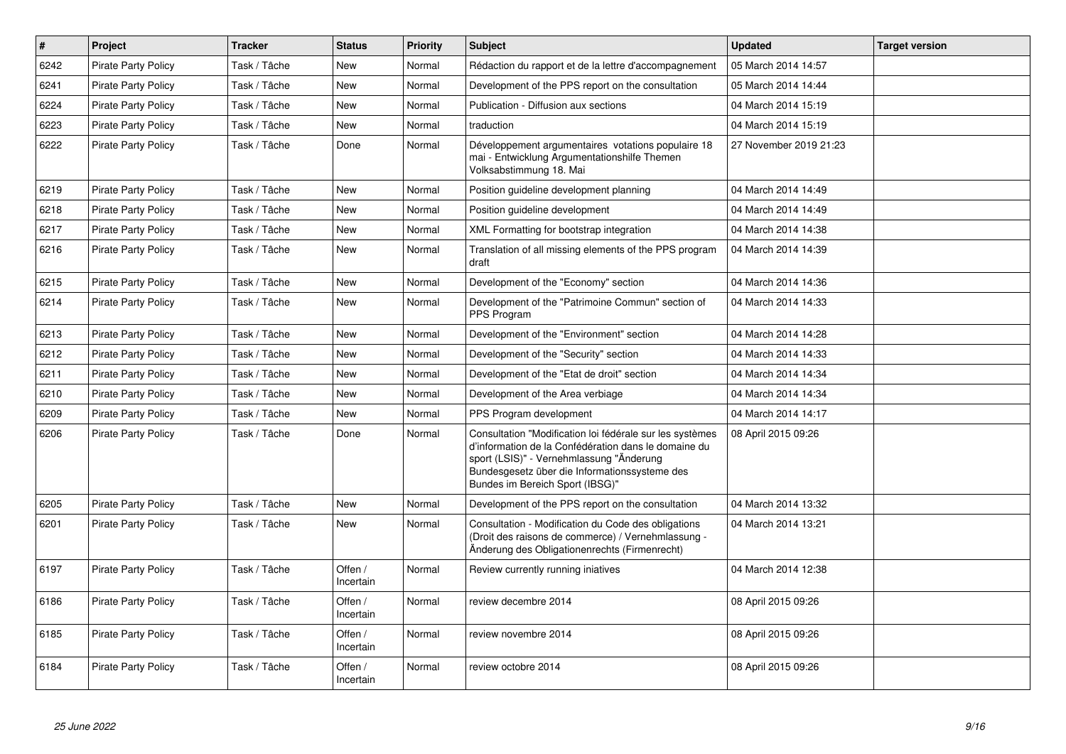| $\vert$ # | <b>Project</b>             | <b>Tracker</b> | <b>Status</b>        | <b>Priority</b> | <b>Subject</b>                                                                                                                                                                                                                                   | <b>Updated</b>         | <b>Target version</b> |
|-----------|----------------------------|----------------|----------------------|-----------------|--------------------------------------------------------------------------------------------------------------------------------------------------------------------------------------------------------------------------------------------------|------------------------|-----------------------|
| 6242      | <b>Pirate Party Policy</b> | Task / Tâche   | New                  | Normal          | Rédaction du rapport et de la lettre d'accompagnement                                                                                                                                                                                            | 05 March 2014 14:57    |                       |
| 6241      | <b>Pirate Party Policy</b> | Task / Tâche   | <b>New</b>           | Normal          | Development of the PPS report on the consultation                                                                                                                                                                                                | 05 March 2014 14:44    |                       |
| 6224      | <b>Pirate Party Policy</b> | Task / Tâche   | <b>New</b>           | Normal          | Publication - Diffusion aux sections                                                                                                                                                                                                             | 04 March 2014 15:19    |                       |
| 6223      | <b>Pirate Party Policy</b> | Task / Tâche   | <b>New</b>           | Normal          | traduction                                                                                                                                                                                                                                       | 04 March 2014 15:19    |                       |
| 6222      | <b>Pirate Party Policy</b> | Task / Tâche   | Done                 | Normal          | Développement argumentaires votations populaire 18<br>mai - Entwicklung Argumentationshilfe Themen<br>Volksabstimmung 18. Mai                                                                                                                    | 27 November 2019 21:23 |                       |
| 6219      | <b>Pirate Party Policy</b> | Task / Tâche   | <b>New</b>           | Normal          | Position guideline development planning                                                                                                                                                                                                          | 04 March 2014 14:49    |                       |
| 6218      | <b>Pirate Party Policy</b> | Task / Tâche   | <b>New</b>           | Normal          | Position guideline development                                                                                                                                                                                                                   | 04 March 2014 14:49    |                       |
| 6217      | <b>Pirate Party Policy</b> | Task / Tâche   | <b>New</b>           | Normal          | XML Formatting for bootstrap integration                                                                                                                                                                                                         | 04 March 2014 14:38    |                       |
| 6216      | <b>Pirate Party Policy</b> | Task / Tâche   | New                  | Normal          | Translation of all missing elements of the PPS program<br>draft                                                                                                                                                                                  | 04 March 2014 14:39    |                       |
| 6215      | <b>Pirate Party Policy</b> | Task / Tâche   | <b>New</b>           | Normal          | Development of the "Economy" section                                                                                                                                                                                                             | 04 March 2014 14:36    |                       |
| 6214      | <b>Pirate Party Policy</b> | Task / Tâche   | <b>New</b>           | Normal          | Development of the "Patrimoine Commun" section of<br>PPS Program                                                                                                                                                                                 | 04 March 2014 14:33    |                       |
| 6213      | <b>Pirate Party Policy</b> | Task / Tâche   | <b>New</b>           | Normal          | Development of the "Environment" section                                                                                                                                                                                                         | 04 March 2014 14:28    |                       |
| 6212      | <b>Pirate Party Policy</b> | Task / Tâche   | <b>New</b>           | Normal          | Development of the "Security" section                                                                                                                                                                                                            | 04 March 2014 14:33    |                       |
| 6211      | <b>Pirate Party Policy</b> | Task / Tâche   | <b>New</b>           | Normal          | Development of the "Etat de droit" section                                                                                                                                                                                                       | 04 March 2014 14:34    |                       |
| 6210      | <b>Pirate Party Policy</b> | Task / Tâche   | <b>New</b>           | Normal          | Development of the Area verbiage                                                                                                                                                                                                                 | 04 March 2014 14:34    |                       |
| 6209      | <b>Pirate Party Policy</b> | Task / Tâche   | <b>New</b>           | Normal          | PPS Program development                                                                                                                                                                                                                          | 04 March 2014 14:17    |                       |
| 6206      | <b>Pirate Party Policy</b> | Task / Tâche   | Done                 | Normal          | Consultation "Modification loi fédérale sur les systèmes<br>d'information de la Confédération dans le domaine du<br>sport (LSIS)" - Vernehmlassung "Änderung<br>Bundesgesetz über die Informationssysteme des<br>Bundes im Bereich Sport (IBSG)" | 08 April 2015 09:26    |                       |
| 6205      | <b>Pirate Party Policy</b> | Task / Tâche   | <b>New</b>           | Normal          | Development of the PPS report on the consultation                                                                                                                                                                                                | 04 March 2014 13:32    |                       |
| 6201      | <b>Pirate Party Policy</b> | Task / Tâche   | <b>New</b>           | Normal          | Consultation - Modification du Code des obligations<br>(Droit des raisons de commerce) / Vernehmlassung -<br>Änderung des Obligationenrechts (Firmenrecht)                                                                                       | 04 March 2014 13:21    |                       |
| 6197      | <b>Pirate Party Policy</b> | Task / Tâche   | Offen /<br>Incertain | Normal          | Review currently running iniatives                                                                                                                                                                                                               | 04 March 2014 12:38    |                       |
| 6186      | <b>Pirate Party Policy</b> | Task / Tâche   | Offen /<br>Incertain | Normal          | review decembre 2014                                                                                                                                                                                                                             | 08 April 2015 09:26    |                       |
| 6185      | <b>Pirate Party Policy</b> | Task / Tâche   | Offen /<br>Incertain | Normal          | review novembre 2014                                                                                                                                                                                                                             | 08 April 2015 09:26    |                       |
| 6184      | <b>Pirate Party Policy</b> | Task / Tâche   | Offen /<br>Incertain | Normal          | review octobre 2014                                                                                                                                                                                                                              | 08 April 2015 09:26    |                       |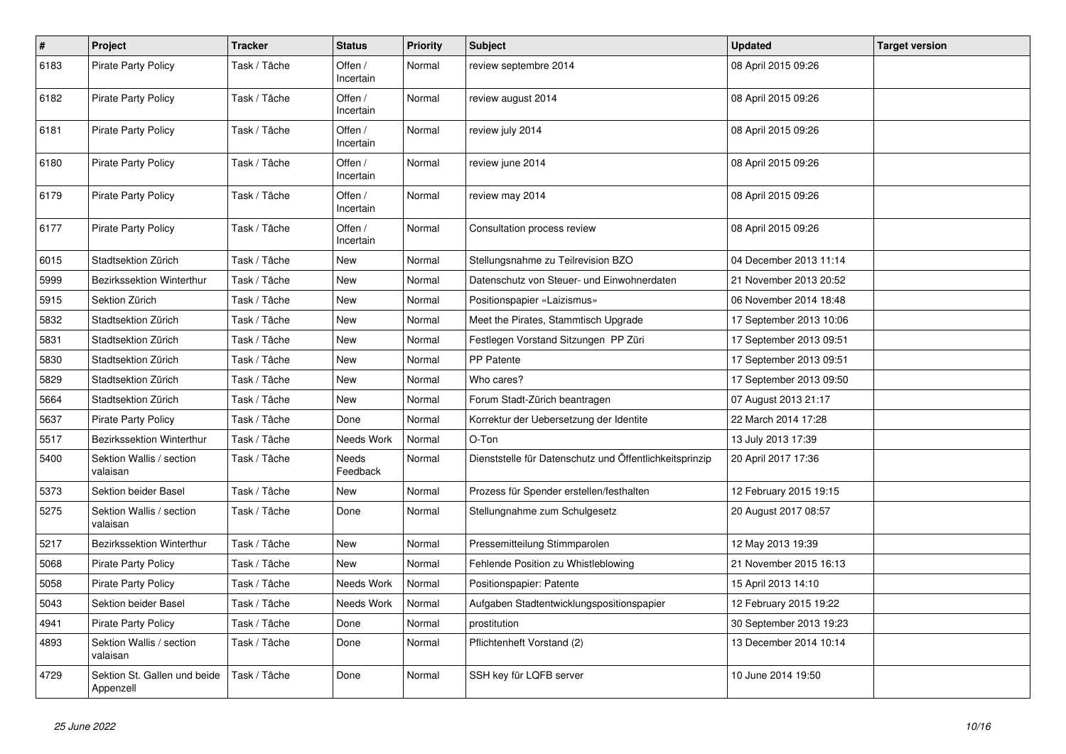| $\#$ | Project                                   | <b>Tracker</b> | <b>Status</b>            | <b>Priority</b> | <b>Subject</b>                                          | <b>Updated</b>          | <b>Target version</b> |
|------|-------------------------------------------|----------------|--------------------------|-----------------|---------------------------------------------------------|-------------------------|-----------------------|
| 6183 | <b>Pirate Party Policy</b>                | Task / Tâche   | Offen /<br>Incertain     | Normal          | review septembre 2014                                   | 08 April 2015 09:26     |                       |
| 6182 | <b>Pirate Party Policy</b>                | Task / Tâche   | Offen /<br>Incertain     | Normal          | review august 2014                                      | 08 April 2015 09:26     |                       |
| 6181 | <b>Pirate Party Policy</b>                | Task / Tâche   | Offen /<br>Incertain     | Normal          | review july 2014                                        | 08 April 2015 09:26     |                       |
| 6180 | <b>Pirate Party Policy</b>                | Task / Tâche   | Offen /<br>Incertain     | Normal          | review june 2014                                        | 08 April 2015 09:26     |                       |
| 6179 | <b>Pirate Party Policy</b>                | Task / Tâche   | Offen /<br>Incertain     | Normal          | review may 2014                                         | 08 April 2015 09:26     |                       |
| 6177 | <b>Pirate Party Policy</b>                | Task / Tâche   | Offen /<br>Incertain     | Normal          | Consultation process review                             | 08 April 2015 09:26     |                       |
| 6015 | Stadtsektion Zürich                       | Task / Tâche   | <b>New</b>               | Normal          | Stellungsnahme zu Teilrevision BZO                      | 04 December 2013 11:14  |                       |
| 5999 | Bezirkssektion Winterthur                 | Task / Tâche   | <b>New</b>               | Normal          | Datenschutz von Steuer- und Einwohnerdaten              | 21 November 2013 20:52  |                       |
| 5915 | Sektion Zürich                            | Task / Tâche   | <b>New</b>               | Normal          | Positionspapier «Laizismus»                             | 06 November 2014 18:48  |                       |
| 5832 | Stadtsektion Zürich                       | Task / Tâche   | <b>New</b>               | Normal          | Meet the Pirates, Stammtisch Upgrade                    | 17 September 2013 10:06 |                       |
| 5831 | Stadtsektion Zürich                       | Task / Tâche   | <b>New</b>               | Normal          | Festlegen Vorstand Sitzungen PP Züri                    | 17 September 2013 09:51 |                       |
| 5830 | Stadtsektion Zürich                       | Task / Tâche   | <b>New</b>               | Normal          | <b>PP Patente</b>                                       | 17 September 2013 09:51 |                       |
| 5829 | Stadtsektion Zürich                       | Task / Tâche   | <b>New</b>               | Normal          | Who cares?                                              | 17 September 2013 09:50 |                       |
| 5664 | Stadtsektion Zürich                       | Task / Tâche   | New                      | Normal          | Forum Stadt-Zürich beantragen                           | 07 August 2013 21:17    |                       |
| 5637 | <b>Pirate Party Policy</b>                | Task / Tâche   | Done                     | Normal          | Korrektur der Uebersetzung der Identite                 | 22 March 2014 17:28     |                       |
| 5517 | Bezirkssektion Winterthur                 | Task / Tâche   | Needs Work               | Normal          | O-Ton                                                   | 13 July 2013 17:39      |                       |
| 5400 | Sektion Wallis / section<br>valaisan      | Task / Tâche   | <b>Needs</b><br>Feedback | Normal          | Dienststelle für Datenschutz und Öffentlichkeitsprinzip | 20 April 2017 17:36     |                       |
| 5373 | Sektion beider Basel                      | Task / Tâche   | New                      | Normal          | Prozess für Spender erstellen/festhalten                | 12 February 2015 19:15  |                       |
| 5275 | Sektion Wallis / section<br>valaisan      | Task / Tâche   | Done                     | Normal          | Stellungnahme zum Schulgesetz                           | 20 August 2017 08:57    |                       |
| 5217 | Bezirkssektion Winterthur                 | Task / Tâche   | New                      | Normal          | Pressemitteilung Stimmparolen                           | 12 May 2013 19:39       |                       |
| 5068 | Pirate Party Policy                       | Task / Tâche   | <b>New</b>               | Normal          | Fehlende Position zu Whistleblowing                     | 21 November 2015 16:13  |                       |
| 5058 | <b>Pirate Party Policy</b>                | Task / Tâche   | Needs Work               | Normal          | Positionspapier: Patente                                | 15 April 2013 14:10     |                       |
| 5043 | Sektion beider Basel                      | Task / Tâche   | Needs Work               | Normal          | Aufgaben Stadtentwicklungspositionspapier               | 12 February 2015 19:22  |                       |
| 4941 | <b>Pirate Party Policy</b>                | Task / Tâche   | Done                     | Normal          | prostitution                                            | 30 September 2013 19:23 |                       |
| 4893 | Sektion Wallis / section<br>valaisan      | Task / Tâche   | Done                     | Normal          | Pflichtenheft Vorstand (2)                              | 13 December 2014 10:14  |                       |
| 4729 | Sektion St. Gallen und beide<br>Appenzell | Task / Tâche   | Done                     | Normal          | SSH key für LQFB server                                 | 10 June 2014 19:50      |                       |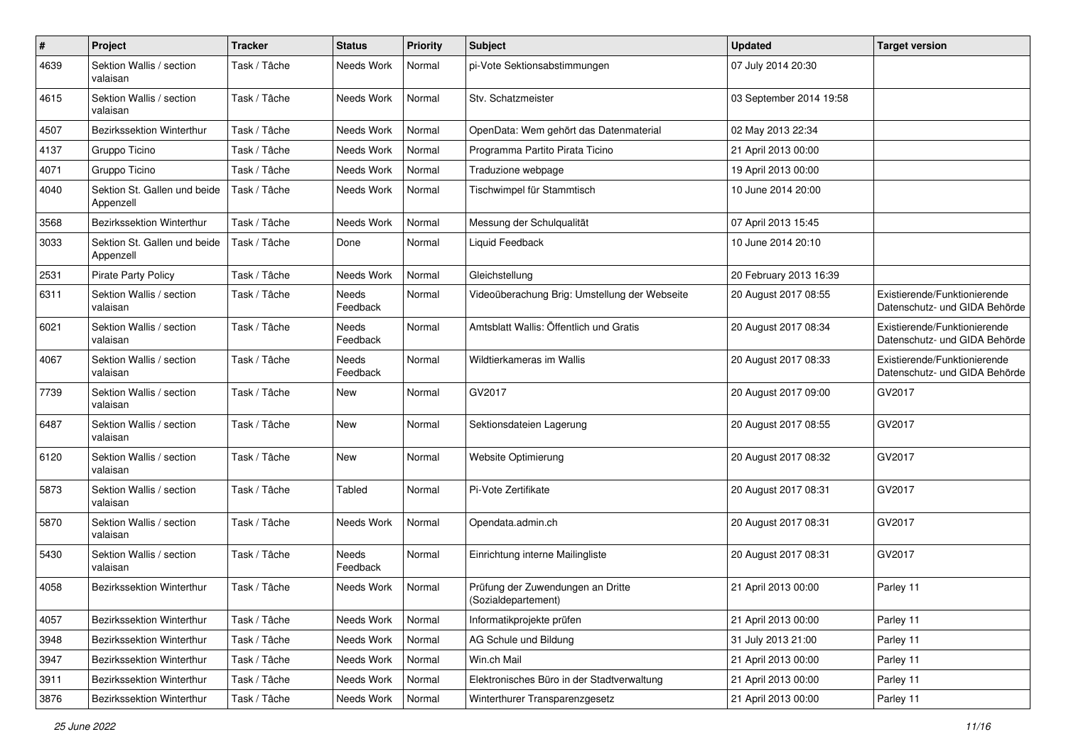| $\#$ | Project                                   | <b>Tracker</b> | <b>Status</b>     | <b>Priority</b> | <b>Subject</b>                                           | <b>Updated</b>          | <b>Target version</b>                                         |
|------|-------------------------------------------|----------------|-------------------|-----------------|----------------------------------------------------------|-------------------------|---------------------------------------------------------------|
| 4639 | Sektion Wallis / section<br>valaisan      | Task / Tâche   | Needs Work        | Normal          | pi-Vote Sektionsabstimmungen                             | 07 July 2014 20:30      |                                                               |
| 4615 | Sektion Wallis / section<br>valaisan      | Task / Tâche   | Needs Work        | Normal          | Stv. Schatzmeister                                       | 03 September 2014 19:58 |                                                               |
| 4507 | <b>Bezirkssektion Winterthur</b>          | Task / Tâche   | Needs Work        | Normal          | OpenData: Wem gehört das Datenmaterial                   | 02 May 2013 22:34       |                                                               |
| 4137 | Gruppo Ticino                             | Task / Tâche   | Needs Work        | Normal          | Programma Partito Pirata Ticino                          | 21 April 2013 00:00     |                                                               |
| 4071 | Gruppo Ticino                             | Task / Tâche   | Needs Work        | Normal          | Traduzione webpage                                       | 19 April 2013 00:00     |                                                               |
| 4040 | Sektion St. Gallen und beide<br>Appenzell | Task / Tâche   | Needs Work        | Normal          | Tischwimpel für Stammtisch                               | 10 June 2014 20:00      |                                                               |
| 3568 | Bezirkssektion Winterthur                 | Task / Tâche   | Needs Work        | Normal          | Messung der Schulqualität                                | 07 April 2013 15:45     |                                                               |
| 3033 | Sektion St. Gallen und beide<br>Appenzell | Task / Tâche   | Done              | Normal          | Liquid Feedback                                          | 10 June 2014 20:10      |                                                               |
| 2531 | <b>Pirate Party Policy</b>                | Task / Tâche   | Needs Work        | Normal          | Gleichstellung                                           | 20 February 2013 16:39  |                                                               |
| 6311 | Sektion Wallis / section<br>valaisan      | Task / Tâche   | Needs<br>Feedback | Normal          | Videoüberachung Brig: Umstellung der Webseite            | 20 August 2017 08:55    | Existierende/Funktionierende<br>Datenschutz- und GIDA Behörde |
| 6021 | Sektion Wallis / section<br>valaisan      | Task / Tâche   | Needs<br>Feedback | Normal          | Amtsblatt Wallis: Öffentlich und Gratis                  | 20 August 2017 08:34    | Existierende/Funktionierende<br>Datenschutz- und GIDA Behörde |
| 4067 | Sektion Wallis / section<br>valaisan      | Task / Tâche   | Needs<br>Feedback | Normal          | Wildtierkameras im Wallis                                | 20 August 2017 08:33    | Existierende/Funktionierende<br>Datenschutz- und GIDA Behörde |
| 7739 | Sektion Wallis / section<br>valaisan      | Task / Tâche   | New               | Normal          | GV2017                                                   | 20 August 2017 09:00    | GV2017                                                        |
| 6487 | Sektion Wallis / section<br>valaisan      | Task / Tâche   | <b>New</b>        | Normal          | Sektionsdateien Lagerung                                 | 20 August 2017 08:55    | GV2017                                                        |
| 6120 | Sektion Wallis / section<br>valaisan      | Task / Tâche   | <b>New</b>        | Normal          | Website Optimierung                                      | 20 August 2017 08:32    | GV2017                                                        |
| 5873 | Sektion Wallis / section<br>valaisan      | Task / Tâche   | Tabled            | Normal          | Pi-Vote Zertifikate                                      | 20 August 2017 08:31    | GV2017                                                        |
| 5870 | Sektion Wallis / section<br>valaisan      | Task / Tâche   | Needs Work        | Normal          | Opendata.admin.ch                                        | 20 August 2017 08:31    | GV2017                                                        |
| 5430 | Sektion Wallis / section<br>valaisan      | Task / Tâche   | Needs<br>Feedback | Normal          | Einrichtung interne Mailingliste                         | 20 August 2017 08:31    | GV2017                                                        |
| 4058 | <b>Bezirkssektion Winterthur</b>          | Task / Tâche   | Needs Work        | Normal          | Prüfung der Zuwendungen an Dritte<br>(Sozialdepartement) | 21 April 2013 00:00     | Parley 11                                                     |
| 4057 | Bezirkssektion Winterthur                 | Task / Tâche   | Needs Work        | Normal          | Informatikprojekte prüfen                                | 21 April 2013 00:00     | Parley 11                                                     |
| 3948 | Bezirkssektion Winterthur                 | Task / Tâche   | Needs Work        | Normal          | AG Schule und Bildung                                    | 31 July 2013 21:00      | Parley 11                                                     |
| 3947 | Bezirkssektion Winterthur                 | Task / Tâche   | Needs Work        | Normal          | Win.ch Mail                                              | 21 April 2013 00:00     | Parley 11                                                     |
| 3911 | Bezirkssektion Winterthur                 | Task / Tâche   | Needs Work        | Normal          | Elektronisches Büro in der Stadtverwaltung               | 21 April 2013 00:00     | Parley 11                                                     |
| 3876 | Bezirkssektion Winterthur                 | Task / Tâche   | Needs Work        | Normal          | Winterthurer Transparenzgesetz                           | 21 April 2013 00:00     | Parley 11                                                     |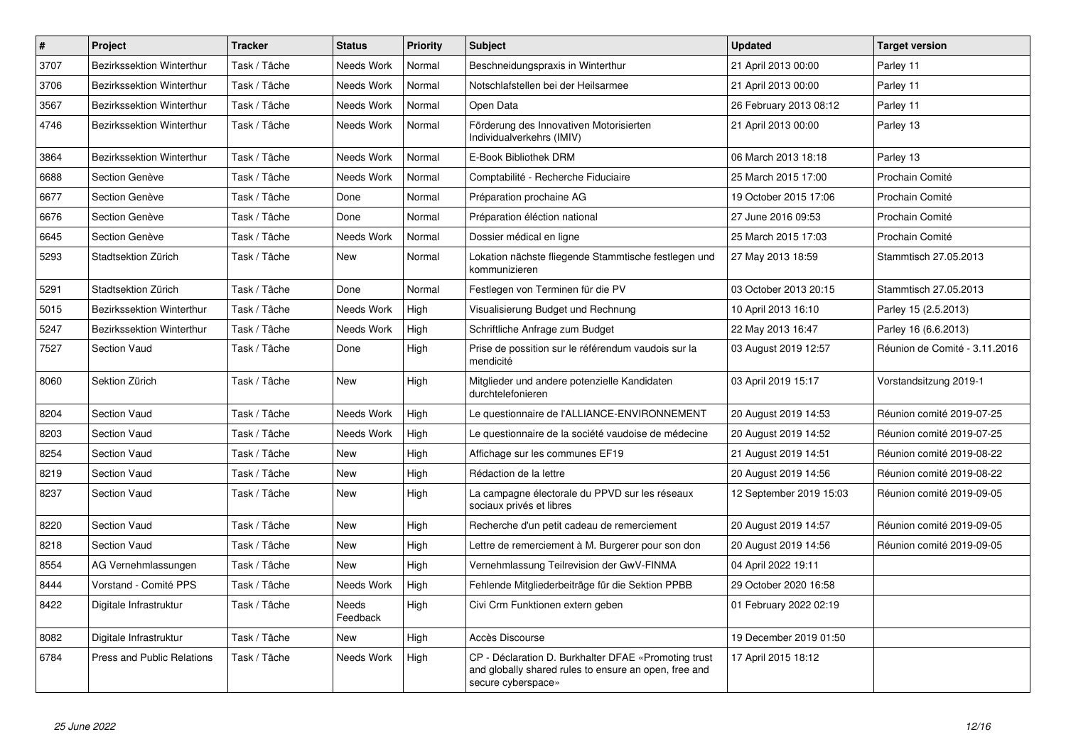| $\sharp$ | <b>Project</b>             | <b>Tracker</b> | <b>Status</b>     | <b>Priority</b> | <b>Subject</b>                                                                                                                      | <b>Updated</b>          | <b>Target version</b>         |
|----------|----------------------------|----------------|-------------------|-----------------|-------------------------------------------------------------------------------------------------------------------------------------|-------------------------|-------------------------------|
| 3707     | Bezirkssektion Winterthur  | Task / Tâche   | Needs Work        | Normal          | Beschneidungspraxis in Winterthur                                                                                                   | 21 April 2013 00:00     | Parley 11                     |
| 3706     | Bezirkssektion Winterthur  | Task / Tâche   | Needs Work        | Normal          | Notschlafstellen bei der Heilsarmee                                                                                                 | 21 April 2013 00:00     | Parley 11                     |
| 3567     | Bezirkssektion Winterthur  | Task / Tâche   | Needs Work        | Normal          | Open Data                                                                                                                           | 26 February 2013 08:12  | Parley 11                     |
| 4746     | Bezirkssektion Winterthur  | Task / Tâche   | Needs Work        | Normal          | Förderung des Innovativen Motorisierten<br>Individualverkehrs (IMIV)                                                                | 21 April 2013 00:00     | Parley 13                     |
| 3864     | Bezirkssektion Winterthur  | Task / Tâche   | Needs Work        | Normal          | E-Book Bibliothek DRM                                                                                                               | 06 March 2013 18:18     | Parley 13                     |
| 6688     | Section Genève             | Task / Tâche   | Needs Work        | Normal          | Comptabilité - Recherche Fiduciaire                                                                                                 | 25 March 2015 17:00     | Prochain Comité               |
| 6677     | Section Genève             | Task / Tâche   | Done              | Normal          | Préparation prochaine AG                                                                                                            | 19 October 2015 17:06   | Prochain Comité               |
| 6676     | Section Genève             | Task / Tâche   | Done              | Normal          | Préparation éléction national                                                                                                       | 27 June 2016 09:53      | Prochain Comité               |
| 6645     | Section Genève             | Task / Tâche   | Needs Work        | Normal          | Dossier médical en ligne                                                                                                            | 25 March 2015 17:03     | Prochain Comité               |
| 5293     | Stadtsektion Zürich        | Task / Tâche   | New               | Normal          | Lokation nächste fliegende Stammtische festlegen und<br>kommunizieren                                                               | 27 May 2013 18:59       | Stammtisch 27.05.2013         |
| 5291     | Stadtsektion Zürich        | Task / Tâche   | Done              | Normal          | Festlegen von Terminen für die PV                                                                                                   | 03 October 2013 20:15   | Stammtisch 27.05.2013         |
| 5015     | Bezirkssektion Winterthur  | Task / Tâche   | Needs Work        | High            | Visualisierung Budget und Rechnung                                                                                                  | 10 April 2013 16:10     | Parley 15 (2.5.2013)          |
| 5247     | Bezirkssektion Winterthur  | Task / Tâche   | Needs Work        | High            | Schriftliche Anfrage zum Budget                                                                                                     | 22 May 2013 16:47       | Parley 16 (6.6.2013)          |
| 7527     | Section Vaud               | Task / Tâche   | Done              | High            | Prise de possition sur le référendum vaudois sur la<br>mendicité                                                                    | 03 August 2019 12:57    | Réunion de Comité - 3.11.2016 |
| 8060     | Sektion Zürich             | Task / Tâche   | New               | High            | Mitglieder und andere potenzielle Kandidaten<br>durchtelefonieren                                                                   | 03 April 2019 15:17     | Vorstandsitzung 2019-1        |
| 8204     | <b>Section Vaud</b>        | Task / Tâche   | Needs Work        | High            | Le questionnaire de l'ALLIANCE-ENVIRONNEMENT                                                                                        | 20 August 2019 14:53    | Réunion comité 2019-07-25     |
| 8203     | Section Vaud               | Task / Tâche   | Needs Work        | High            | Le questionnaire de la société vaudoise de médecine                                                                                 | 20 August 2019 14:52    | Réunion comité 2019-07-25     |
| 8254     | <b>Section Vaud</b>        | Task / Tâche   | <b>New</b>        | High            | Affichage sur les communes EF19                                                                                                     | 21 August 2019 14:51    | Réunion comité 2019-08-22     |
| 8219     | <b>Section Vaud</b>        | Task / Tâche   | New               | High            | Rédaction de la lettre                                                                                                              | 20 August 2019 14:56    | Réunion comité 2019-08-22     |
| 8237     | <b>Section Vaud</b>        | Task / Tâche   | New               | High            | La campagne électorale du PPVD sur les réseaux<br>sociaux privés et libres                                                          | 12 September 2019 15:03 | Réunion comité 2019-09-05     |
| 8220     | <b>Section Vaud</b>        | Task / Tâche   | <b>New</b>        | High            | Recherche d'un petit cadeau de remerciement                                                                                         | 20 August 2019 14:57    | Réunion comité 2019-09-05     |
| 8218     | <b>Section Vaud</b>        | Task / Tâche   | New               | High            | Lettre de remerciement à M. Burgerer pour son don                                                                                   | 20 August 2019 14:56    | Réunion comité 2019-09-05     |
| 8554     | AG Vernehmlassungen        | Task / Tâche   | <b>New</b>        | High            | Vernehmlassung Teilrevision der GwV-FINMA                                                                                           | 04 April 2022 19:11     |                               |
| 8444     | Vorstand - Comité PPS      | Task / Tâche   | Needs Work        | High            | Fehlende Mitgliederbeiträge für die Sektion PPBB                                                                                    | 29 October 2020 16:58   |                               |
| 8422     | Digitale Infrastruktur     | Task / Tâche   | Needs<br>Feedback | High            | Civi Crm Funktionen extern geben                                                                                                    | 01 February 2022 02:19  |                               |
| 8082     | Digitale Infrastruktur     | Task / Tâche   | New               | High            | Accès Discourse                                                                                                                     | 19 December 2019 01:50  |                               |
| 6784     | Press and Public Relations | Task / Tâche   | Needs Work        | High            | CP - Déclaration D. Burkhalter DFAE «Promoting trust<br>and globally shared rules to ensure an open, free and<br>secure cyberspace» | 17 April 2015 18:12     |                               |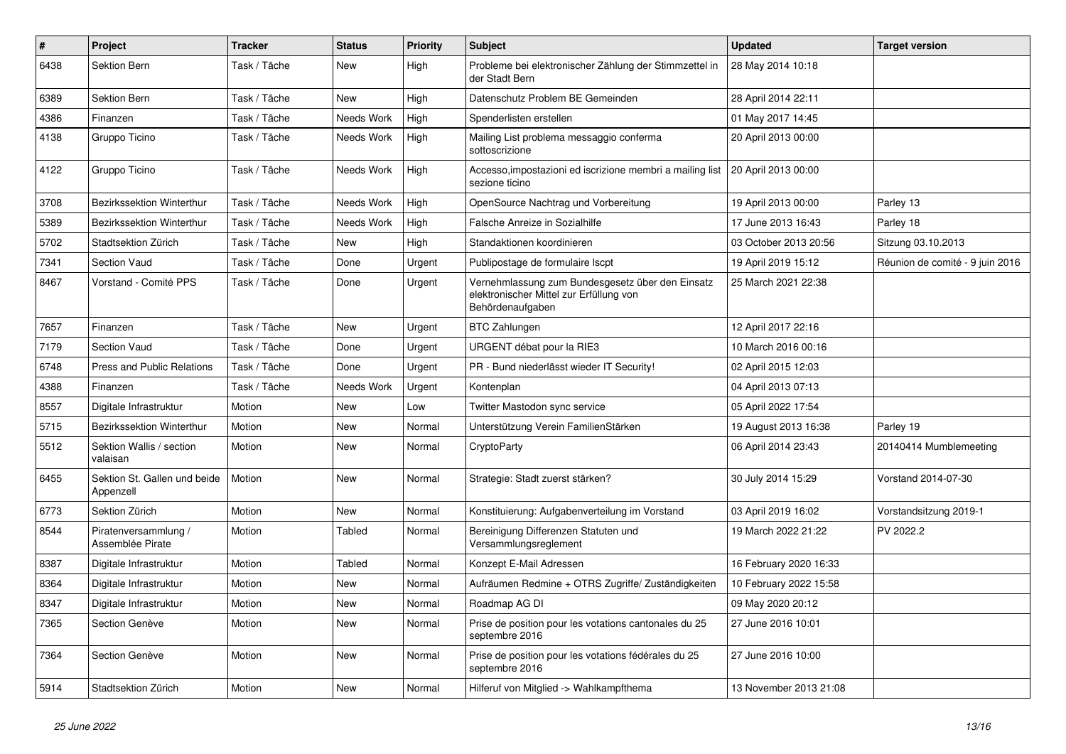| #    | Project                                   | <b>Tracker</b> | <b>Status</b> | <b>Priority</b> | <b>Subject</b>                                                                                                  | <b>Updated</b>         | <b>Target version</b>           |
|------|-------------------------------------------|----------------|---------------|-----------------|-----------------------------------------------------------------------------------------------------------------|------------------------|---------------------------------|
| 6438 | Sektion Bern                              | Task / Tâche   | New           | High            | Probleme bei elektronischer Zählung der Stimmzettel in<br>der Stadt Bern                                        | 28 May 2014 10:18      |                                 |
| 6389 | Sektion Bern                              | Task / Tâche   | New           | High            | Datenschutz Problem BE Gemeinden                                                                                | 28 April 2014 22:11    |                                 |
| 4386 | Finanzen                                  | Task / Tâche   | Needs Work    | High            | Spenderlisten erstellen                                                                                         | 01 May 2017 14:45      |                                 |
| 4138 | Gruppo Ticino                             | Task / Tâche   | Needs Work    | High            | Mailing List problema messaggio conferma<br>sottoscrizione                                                      | 20 April 2013 00:00    |                                 |
| 4122 | Gruppo Ticino                             | Task / Tâche   | Needs Work    | High            | Accesso, impostazioni ed iscrizione membri a mailing list   20 April 2013 00:00<br>sezione ticino               |                        |                                 |
| 3708 | Bezirkssektion Winterthur                 | Task / Tâche   | Needs Work    | High            | OpenSource Nachtrag und Vorbereitung                                                                            | 19 April 2013 00:00    | Parley 13                       |
| 5389 | Bezirkssektion Winterthur                 | Task / Tâche   | Needs Work    | High            | Falsche Anreize in Sozialhilfe                                                                                  | 17 June 2013 16:43     | Parley 18                       |
| 5702 | Stadtsektion Zürich                       | Task / Tâche   | New           | High            | Standaktionen koordinieren                                                                                      | 03 October 2013 20:56  | Sitzung 03.10.2013              |
| 7341 | Section Vaud                              | Task / Tâche   | Done          | Urgent          | Publipostage de formulaire Iscpt                                                                                | 19 April 2019 15:12    | Réunion de comité - 9 juin 2016 |
| 8467 | Vorstand - Comité PPS                     | Task / Tâche   | Done          | Urgent          | Vernehmlassung zum Bundesgesetz über den Einsatz<br>elektronischer Mittel zur Erfüllung von<br>Behördenaufgaben | 25 March 2021 22:38    |                                 |
| 7657 | Finanzen                                  | Task / Tâche   | New           | Urgent          | <b>BTC Zahlungen</b>                                                                                            | 12 April 2017 22:16    |                                 |
| 7179 | Section Vaud                              | Task / Tâche   | Done          | Urgent          | URGENT débat pour la RIE3                                                                                       | 10 March 2016 00:16    |                                 |
| 6748 | Press and Public Relations                | Task / Tâche   | Done          | Urgent          | PR - Bund niederlässt wieder IT Security!                                                                       | 02 April 2015 12:03    |                                 |
| 4388 | Finanzen                                  | Task / Tâche   | Needs Work    | Urgent          | Kontenplan                                                                                                      | 04 April 2013 07:13    |                                 |
| 8557 | Digitale Infrastruktur                    | Motion         | <b>New</b>    | Low             | Twitter Mastodon sync service                                                                                   | 05 April 2022 17:54    |                                 |
| 5715 | Bezirkssektion Winterthur                 | Motion         | <b>New</b>    | Normal          | Unterstützung Verein FamilienStärken                                                                            | 19 August 2013 16:38   | Parley 19                       |
| 5512 | Sektion Wallis / section<br>valaisan      | Motion         | New           | Normal          | CryptoParty                                                                                                     | 06 April 2014 23:43    | 20140414 Mumblemeeting          |
| 6455 | Sektion St. Gallen und beide<br>Appenzell | Motion         | New           | Normal          | Strategie: Stadt zuerst stärken?                                                                                | 30 July 2014 15:29     | Vorstand 2014-07-30             |
| 6773 | Sektion Zürich                            | Motion         | <b>New</b>    | Normal          | Konstituierung: Aufgabenverteilung im Vorstand                                                                  | 03 April 2019 16:02    | Vorstandsitzung 2019-1          |
| 8544 | Piratenversammlung /<br>Assemblée Pirate  | Motion         | Tabled        | Normal          | Bereinigung Differenzen Statuten und<br>Versammlungsreglement                                                   | 19 March 2022 21:22    | PV 2022.2                       |
| 8387 | Digitale Infrastruktur                    | Motion         | Tabled        | Normal          | Konzept E-Mail Adressen                                                                                         | 16 February 2020 16:33 |                                 |
| 8364 | Digitale Infrastruktur                    | Motion         | New           | Normal          | Aufräumen Redmine + OTRS Zugriffe/Zuständigkeiten                                                               | 10 February 2022 15:58 |                                 |
| 8347 | Digitale Infrastruktur                    | Motion         | New           | Normal          | Roadmap AG DI                                                                                                   | 09 May 2020 20:12      |                                 |
| 7365 | Section Genève                            | Motion         | New           | Normal          | Prise de position pour les votations cantonales du 25<br>septembre 2016                                         | 27 June 2016 10:01     |                                 |
| 7364 | Section Genève                            | Motion         | New           | Normal          | Prise de position pour les votations fédérales du 25<br>septembre 2016                                          | 27 June 2016 10:00     |                                 |
| 5914 | Stadtsektion Zürich                       | Motion         | New           | Normal          | Hilferuf von Mitglied -> Wahlkampfthema                                                                         | 13 November 2013 21:08 |                                 |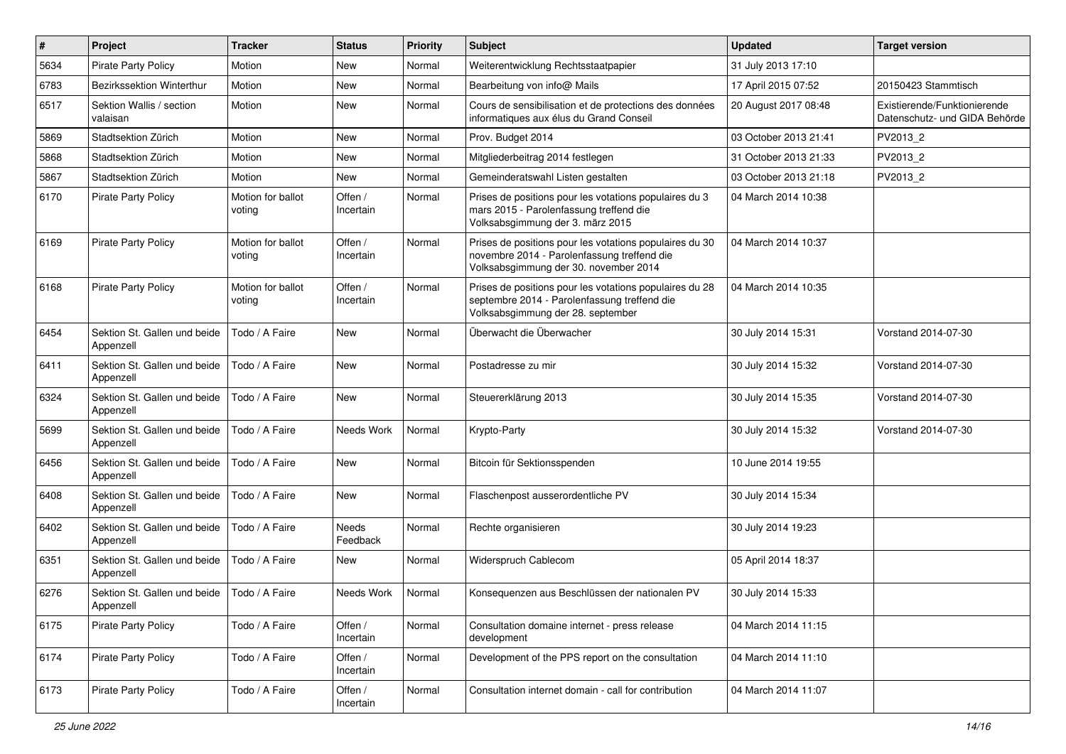| $\pmb{\#}$ | Project                                   | <b>Tracker</b>              | <b>Status</b>            | <b>Priority</b> | <b>Subject</b>                                                                                                                                  | <b>Updated</b>        | <b>Target version</b>                                         |
|------------|-------------------------------------------|-----------------------------|--------------------------|-----------------|-------------------------------------------------------------------------------------------------------------------------------------------------|-----------------------|---------------------------------------------------------------|
| 5634       | <b>Pirate Party Policy</b>                | Motion                      | New                      | Normal          | Weiterentwicklung Rechtsstaatpapier                                                                                                             | 31 July 2013 17:10    |                                                               |
| 6783       | <b>Bezirkssektion Winterthur</b>          | Motion                      | <b>New</b>               | Normal          | Bearbeitung von info@ Mails                                                                                                                     | 17 April 2015 07:52   | 20150423 Stammtisch                                           |
| 6517       | Sektion Wallis / section<br>valaisan      | Motion                      | New                      | Normal          | Cours de sensibilisation et de protections des données<br>informatiques aux élus du Grand Conseil                                               | 20 August 2017 08:48  | Existierende/Funktionierende<br>Datenschutz- und GIDA Behörde |
| 5869       | Stadtsektion Zürich                       | Motion                      | <b>New</b>               | Normal          | Prov. Budget 2014                                                                                                                               | 03 October 2013 21:41 | PV2013_2                                                      |
| 5868       | Stadtsektion Zürich                       | Motion                      | New                      | Normal          | Mitgliederbeitrag 2014 festlegen                                                                                                                | 31 October 2013 21:33 | PV2013 2                                                      |
| 5867       | Stadtsektion Zürich                       | Motion                      | <b>New</b>               | Normal          | Gemeinderatswahl Listen gestalten                                                                                                               | 03 October 2013 21:18 | PV2013_2                                                      |
| 6170       | <b>Pirate Party Policy</b>                | Motion for ballot<br>voting | Offen /<br>Incertain     | Normal          | Prises de positions pour les votations populaires du 3<br>mars 2015 - Parolenfassung treffend die<br>Volksabsgimmung der 3. märz 2015           | 04 March 2014 10:38   |                                                               |
| 6169       | <b>Pirate Party Policy</b>                | Motion for ballot<br>voting | Offen /<br>Incertain     | Normal          | Prises de positions pour les votations populaires du 30<br>novembre 2014 - Parolenfassung treffend die<br>Volksabsgimmung der 30. november 2014 | 04 March 2014 10:37   |                                                               |
| 6168       | <b>Pirate Party Policy</b>                | Motion for ballot<br>voting | Offen /<br>Incertain     | Normal          | Prises de positions pour les votations populaires du 28<br>septembre 2014 - Parolenfassung treffend die<br>Volksabsgimmung der 28. september    | 04 March 2014 10:35   |                                                               |
| 6454       | Sektion St. Gallen und beide<br>Appenzell | Todo / A Faire              | <b>New</b>               | Normal          | Überwacht die Überwacher                                                                                                                        | 30 July 2014 15:31    | Vorstand 2014-07-30                                           |
| 6411       | Sektion St. Gallen und beide<br>Appenzell | Todo / A Faire              | <b>New</b>               | Normal          | Postadresse zu mir                                                                                                                              | 30 July 2014 15:32    | Vorstand 2014-07-30                                           |
| 6324       | Sektion St. Gallen und beide<br>Appenzell | Todo / A Faire              | <b>New</b>               | Normal          | Steuererklärung 2013                                                                                                                            | 30 July 2014 15:35    | Vorstand 2014-07-30                                           |
| 5699       | Sektion St. Gallen und beide<br>Appenzell | Todo / A Faire              | Needs Work               | Normal          | Krypto-Party                                                                                                                                    | 30 July 2014 15:32    | Vorstand 2014-07-30                                           |
| 6456       | Sektion St. Gallen und beide<br>Appenzell | Todo / A Faire              | <b>New</b>               | Normal          | Bitcoin für Sektionsspenden                                                                                                                     | 10 June 2014 19:55    |                                                               |
| 6408       | Sektion St. Gallen und beide<br>Appenzell | Todo / A Faire              | <b>New</b>               | Normal          | Flaschenpost ausserordentliche PV                                                                                                               | 30 July 2014 15:34    |                                                               |
| 6402       | Sektion St. Gallen und beide<br>Appenzell | Todo / A Faire              | <b>Needs</b><br>Feedback | Normal          | Rechte organisieren                                                                                                                             | 30 July 2014 19:23    |                                                               |
| 6351       | Sektion St. Gallen und beide<br>Appenzell | Todo / A Faire              | New                      | Normal          | Widerspruch Cablecom                                                                                                                            | 05 April 2014 18:37   |                                                               |
| 6276       | Sektion St. Gallen und beide<br>Appenzell | Todo / A Faire              | Needs Work               | Normal          | Konsequenzen aus Beschlüssen der nationalen PV                                                                                                  | 30 July 2014 15:33    |                                                               |
| 6175       | Pirate Party Policy                       | Todo / A Faire              | Offen /<br>Incertain     | Normal          | Consultation domaine internet - press release<br>development                                                                                    | 04 March 2014 11:15   |                                                               |
| 6174       | Pirate Party Policy                       | Todo / A Faire              | Offen /<br>Incertain     | Normal          | Development of the PPS report on the consultation                                                                                               | 04 March 2014 11:10   |                                                               |
| 6173       | Pirate Party Policy                       | Todo / A Faire              | Offen /<br>Incertain     | Normal          | Consultation internet domain - call for contribution                                                                                            | 04 March 2014 11:07   |                                                               |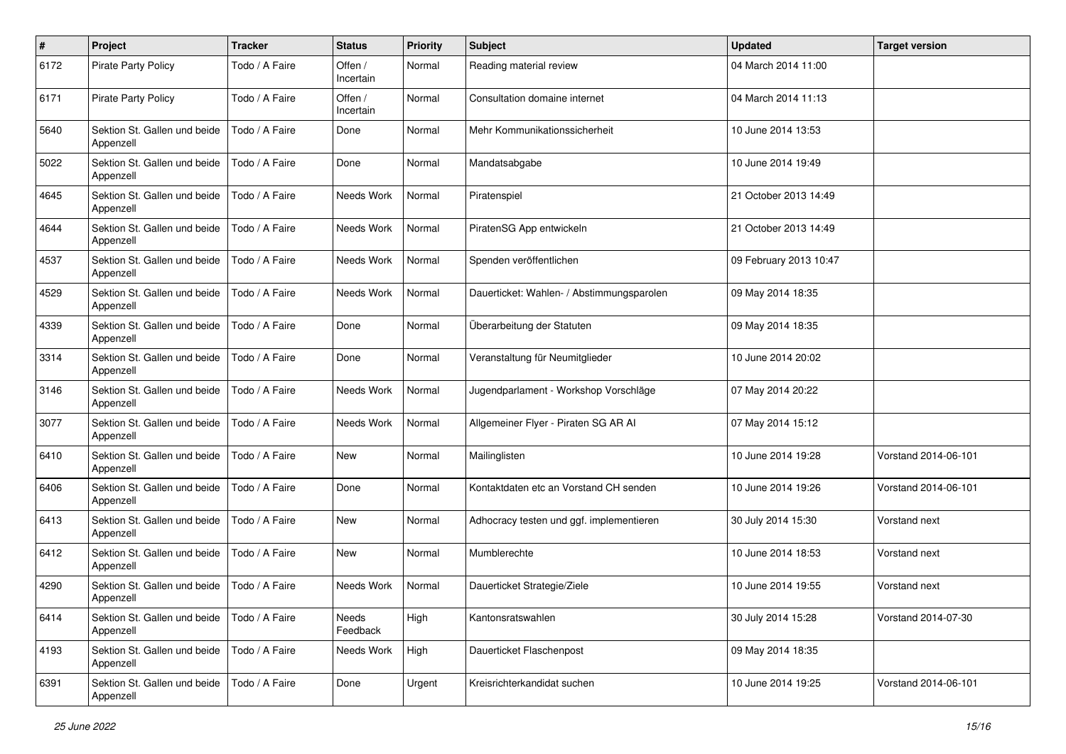| $\#$ | Project                                   | <b>Tracker</b> | <b>Status</b>        | <b>Priority</b> | <b>Subject</b>                            | <b>Updated</b>         | <b>Target version</b> |
|------|-------------------------------------------|----------------|----------------------|-----------------|-------------------------------------------|------------------------|-----------------------|
| 6172 | <b>Pirate Party Policy</b>                | Todo / A Faire | Offen /<br>Incertain | Normal          | Reading material review                   | 04 March 2014 11:00    |                       |
| 6171 | <b>Pirate Party Policy</b>                | Todo / A Faire | Offen /<br>Incertain | Normal          | Consultation domaine internet             | 04 March 2014 11:13    |                       |
| 5640 | Sektion St. Gallen und beide<br>Appenzell | Todo / A Faire | Done                 | Normal          | Mehr Kommunikationssicherheit             | 10 June 2014 13:53     |                       |
| 5022 | Sektion St. Gallen und beide<br>Appenzell | Todo / A Faire | Done                 | Normal          | Mandatsabgabe                             | 10 June 2014 19:49     |                       |
| 4645 | Sektion St. Gallen und beide<br>Appenzell | Todo / A Faire | Needs Work           | Normal          | Piratenspiel                              | 21 October 2013 14:49  |                       |
| 4644 | Sektion St. Gallen und beide<br>Appenzell | Todo / A Faire | Needs Work           | Normal          | PiratenSG App entwickeln                  | 21 October 2013 14:49  |                       |
| 4537 | Sektion St. Gallen und beide<br>Appenzell | Todo / A Faire | Needs Work           | Normal          | Spenden veröffentlichen                   | 09 February 2013 10:47 |                       |
| 4529 | Sektion St. Gallen und beide<br>Appenzell | Todo / A Faire | Needs Work           | Normal          | Dauerticket: Wahlen- / Abstimmungsparolen | 09 May 2014 18:35      |                       |
| 4339 | Sektion St. Gallen und beide<br>Appenzell | Todo / A Faire | Done                 | Normal          | Überarbeitung der Statuten                | 09 May 2014 18:35      |                       |
| 3314 | Sektion St. Gallen und beide<br>Appenzell | Todo / A Faire | Done                 | Normal          | Veranstaltung für Neumitglieder           | 10 June 2014 20:02     |                       |
| 3146 | Sektion St. Gallen und beide<br>Appenzell | Todo / A Faire | Needs Work           | Normal          | Jugendparlament - Workshop Vorschläge     | 07 May 2014 20:22      |                       |
| 3077 | Sektion St. Gallen und beide<br>Appenzell | Todo / A Faire | Needs Work           | Normal          | Allgemeiner Flyer - Piraten SG AR Al      | 07 May 2014 15:12      |                       |
| 6410 | Sektion St. Gallen und beide<br>Appenzell | Todo / A Faire | New                  | Normal          | Mailinglisten                             | 10 June 2014 19:28     | Vorstand 2014-06-101  |
| 6406 | Sektion St. Gallen und beide<br>Appenzell | Todo / A Faire | Done                 | Normal          | Kontaktdaten etc an Vorstand CH senden    | 10 June 2014 19:26     | Vorstand 2014-06-101  |
| 6413 | Sektion St. Gallen und beide<br>Appenzell | Todo / A Faire | <b>New</b>           | Normal          | Adhocracy testen und ggf. implementieren  | 30 July 2014 15:30     | Vorstand next         |
| 6412 | Sektion St. Gallen und beide<br>Appenzell | Todo / A Faire | New                  | Normal          | Mumblerechte                              | 10 June 2014 18:53     | Vorstand next         |
| 4290 | Sektion St. Gallen und beide<br>Appenzell | Todo / A Faire | Needs Work           | Normal          | Dauerticket Strategie/Ziele               | 10 June 2014 19:55     | Vorstand next         |
| 6414 | Sektion St. Gallen und beide<br>Appenzell | Todo / A Faire | Needs<br>Feedback    | High            | Kantonsratswahlen                         | 30 July 2014 15:28     | Vorstand 2014-07-30   |
| 4193 | Sektion St. Gallen und beide<br>Appenzell | Todo / A Faire | Needs Work           | High            | Dauerticket Flaschenpost                  | 09 May 2014 18:35      |                       |
| 6391 | Sektion St. Gallen und beide<br>Appenzell | Todo / A Faire | Done                 | Urgent          | Kreisrichterkandidat suchen               | 10 June 2014 19:25     | Vorstand 2014-06-101  |